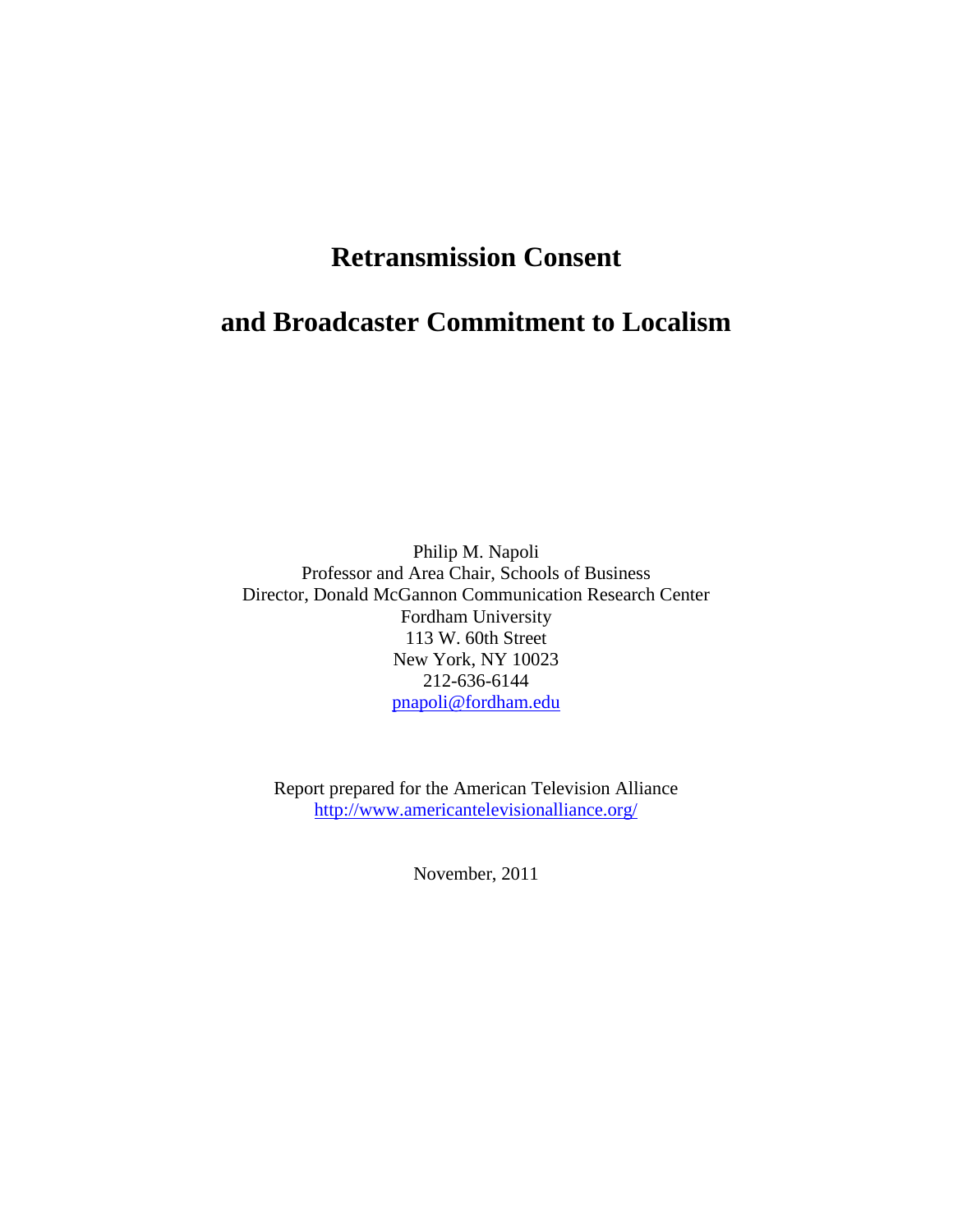# **Retransmission Consent**

# **and Broadcaster Commitment to Localism**

Philip M. Napoli Professor and Area Chair, Schools of Business Director, Donald McGannon Communication Research Center Fordham University 113 W. 60th Street New York, NY 10023 212-636-6144 [pnapoli@fordham.edu](mailto:pnapoli@fordham.edu)

Report prepared for the American Television Alliance <http://www.americantelevisionalliance.org/>

November, 2011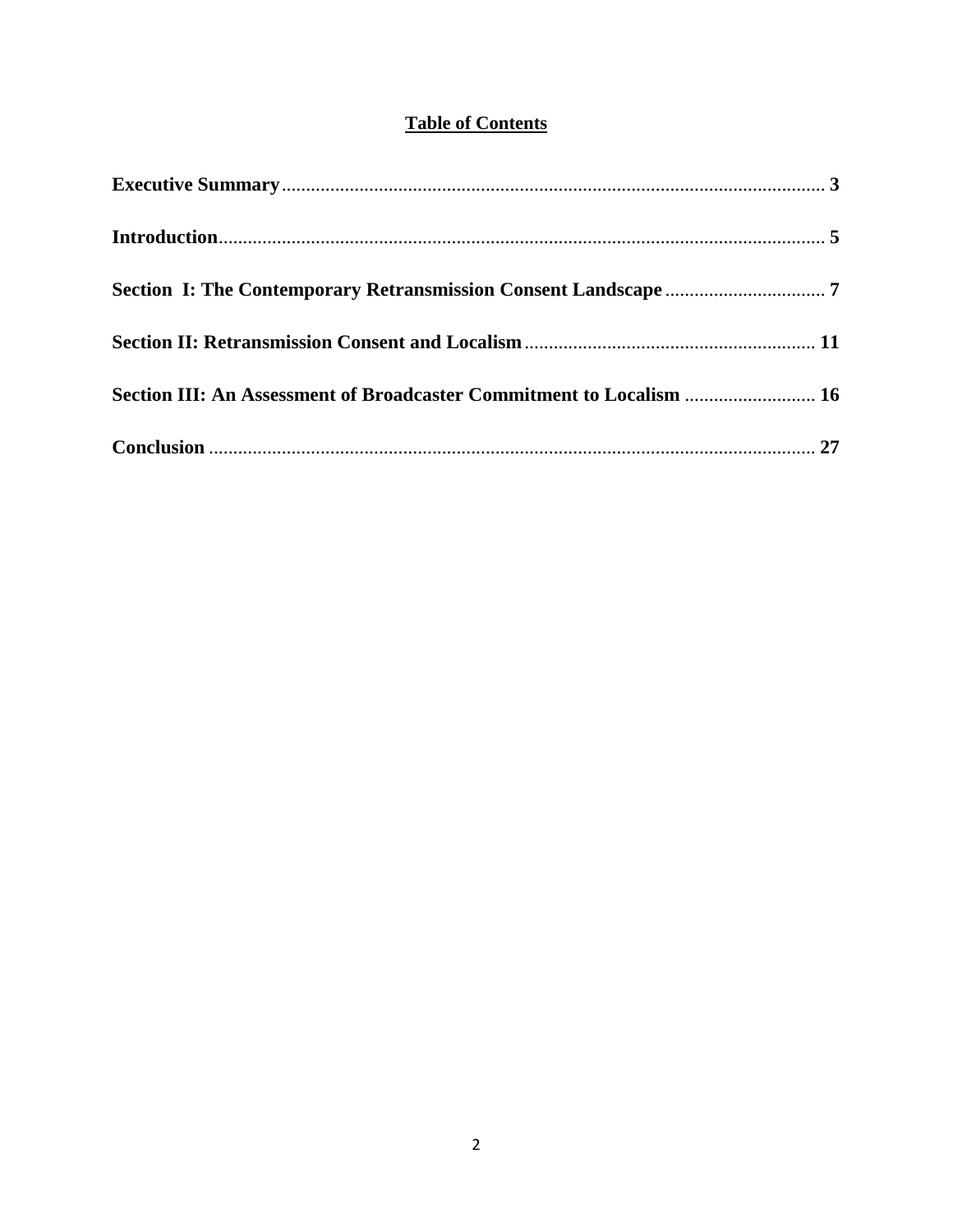### **Table of Contents**

| Section III: An Assessment of Broadcaster Commitment to Localism  16 |  |
|----------------------------------------------------------------------|--|
|                                                                      |  |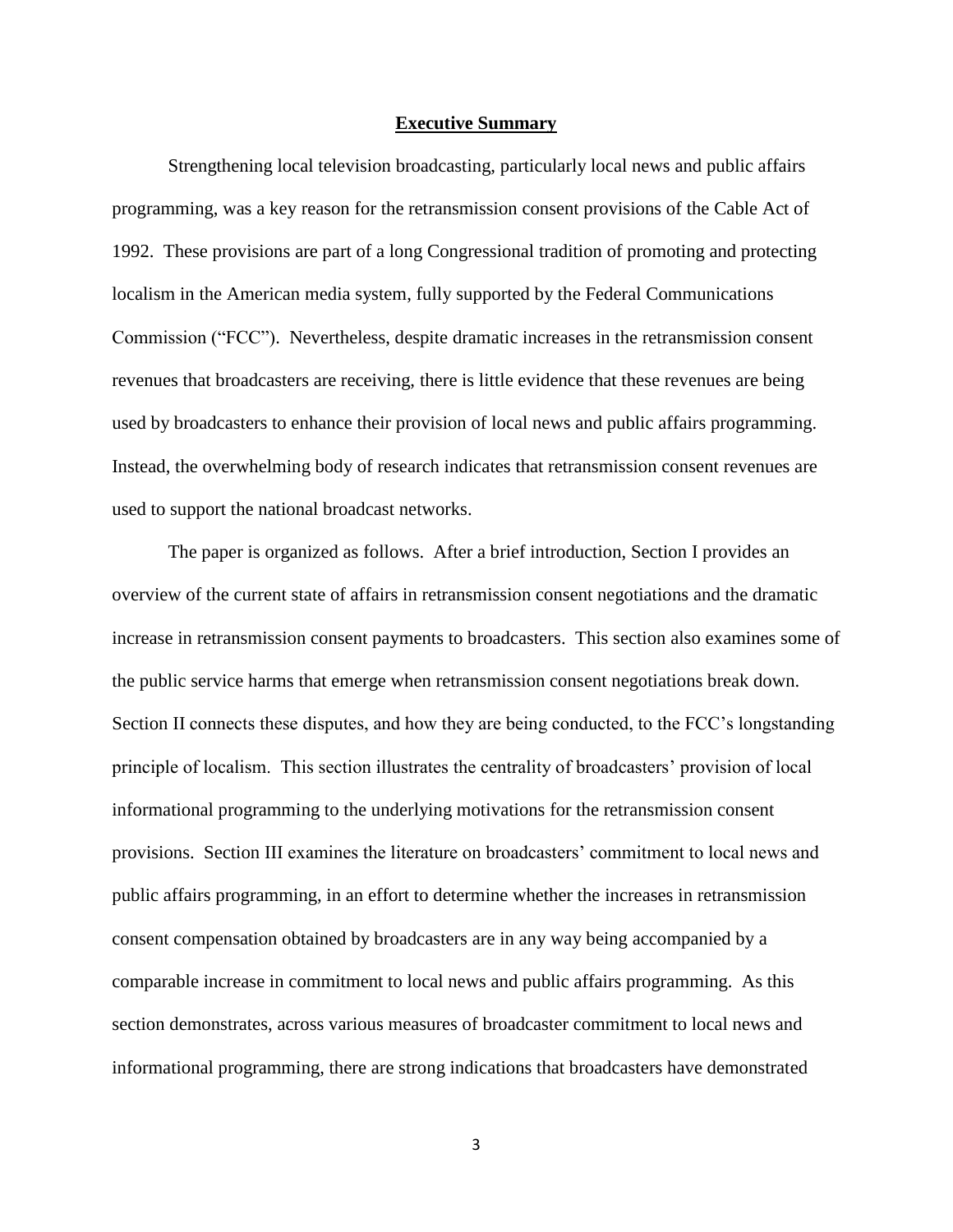#### **Executive Summary**

<span id="page-2-0"></span>Strengthening local television broadcasting, particularly local news and public affairs programming, was a key reason for the retransmission consent provisions of the Cable Act of 1992. These provisions are part of a long Congressional tradition of promoting and protecting localism in the American media system, fully supported by the Federal Communications Commission ("FCC"). Nevertheless, despite dramatic increases in the retransmission consent revenues that broadcasters are receiving, there is little evidence that these revenues are being used by broadcasters to enhance their provision of local news and public affairs programming. Instead, the overwhelming body of research indicates that retransmission consent revenues are used to support the national broadcast networks.

The paper is organized as follows. After a brief introduction, Section I provides an overview of the current state of affairs in retransmission consent negotiations and the dramatic increase in retransmission consent payments to broadcasters. This section also examines some of the public service harms that emerge when retransmission consent negotiations break down. Section II connects these disputes, and how they are being conducted, to the FCC"s longstanding principle of localism. This section illustrates the centrality of broadcasters" provision of local informational programming to the underlying motivations for the retransmission consent provisions. Section III examines the literature on broadcasters" commitment to local news and public affairs programming, in an effort to determine whether the increases in retransmission consent compensation obtained by broadcasters are in any way being accompanied by a comparable increase in commitment to local news and public affairs programming. As this section demonstrates, across various measures of broadcaster commitment to local news and informational programming, there are strong indications that broadcasters have demonstrated

3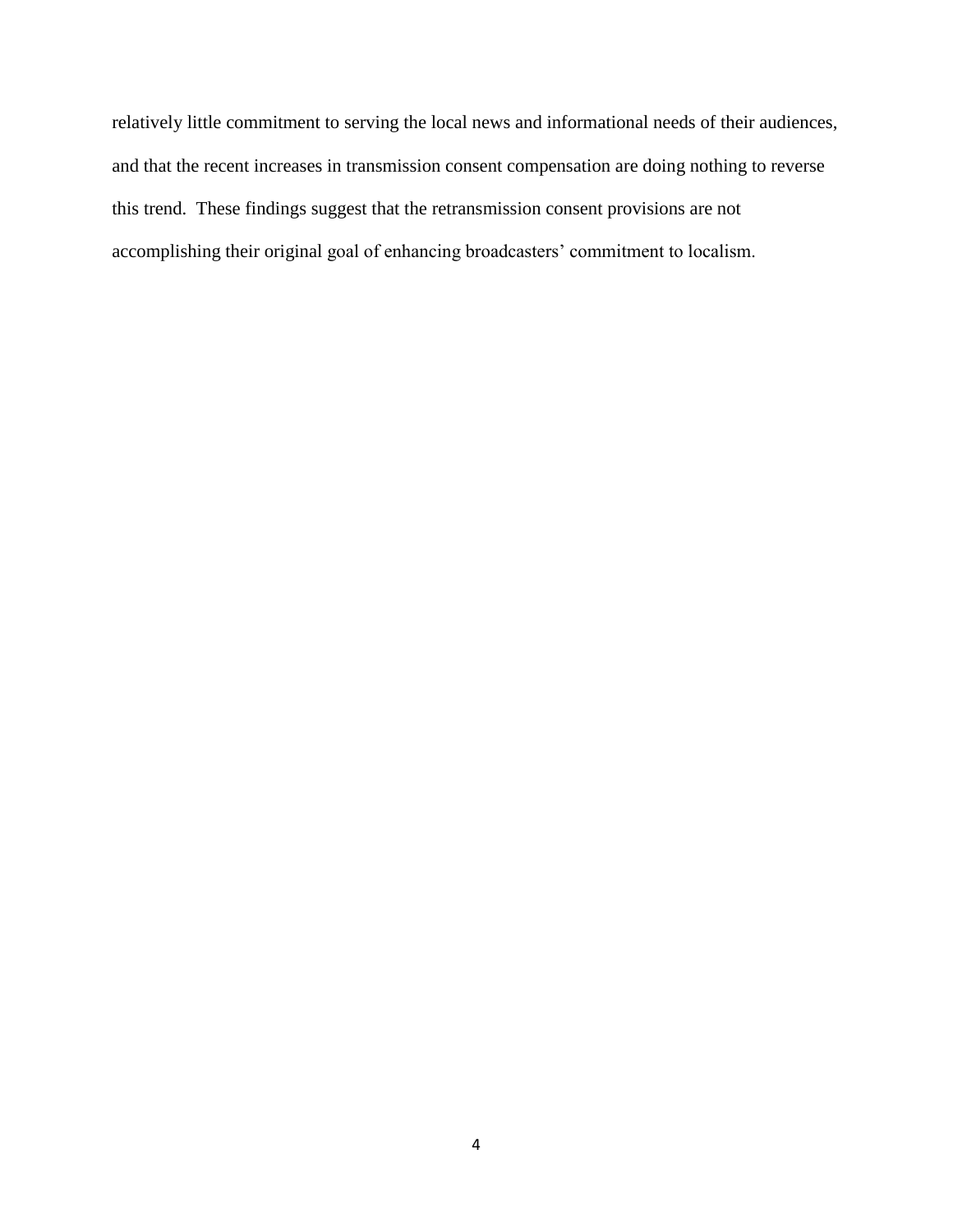relatively little commitment to serving the local news and informational needs of their audiences, and that the recent increases in transmission consent compensation are doing nothing to reverse this trend. These findings suggest that the retransmission consent provisions are not accomplishing their original goal of enhancing broadcasters" commitment to localism.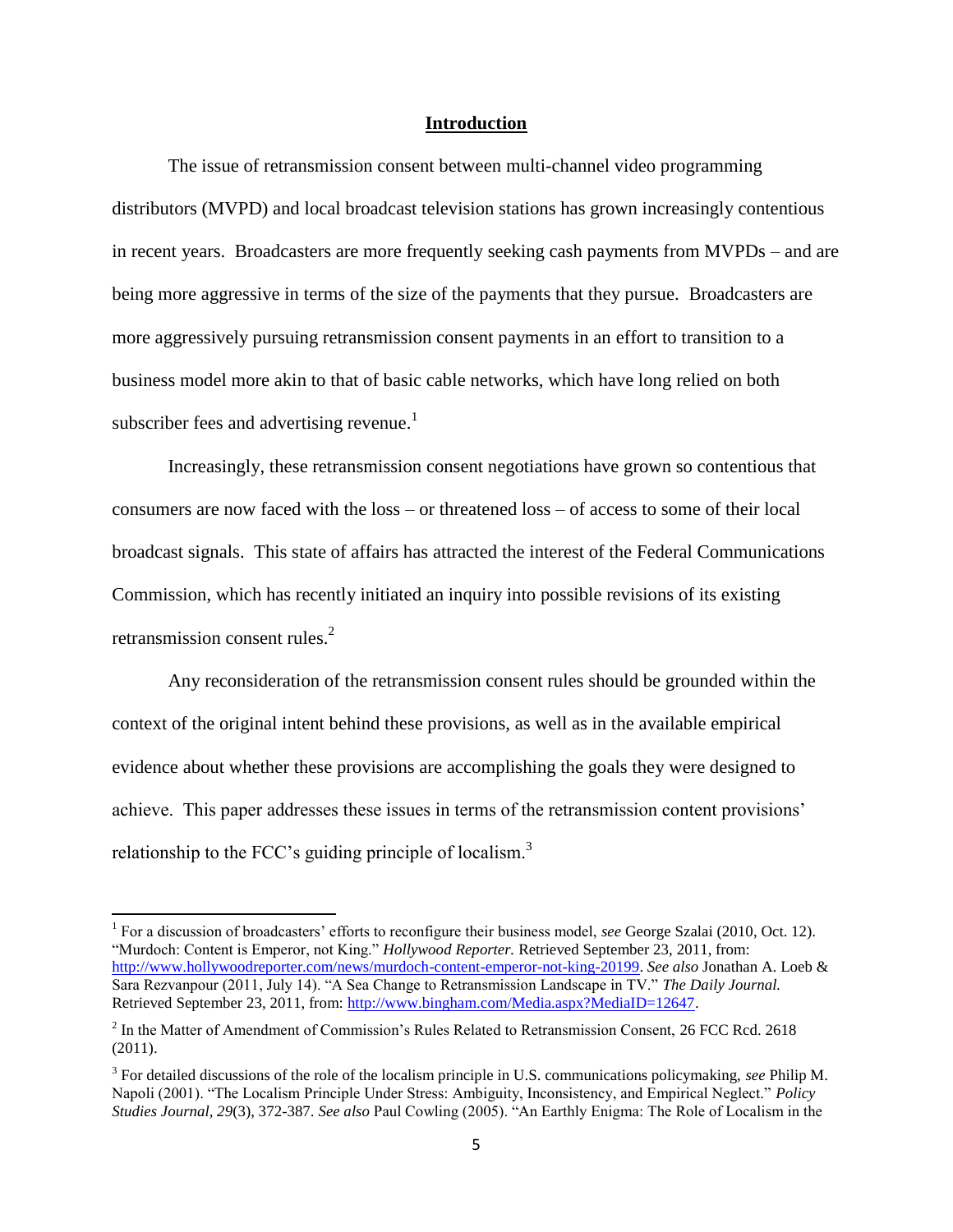### **Introduction**

<span id="page-4-0"></span>The issue of retransmission consent between multi-channel video programming distributors (MVPD) and local broadcast television stations has grown increasingly contentious in recent years. Broadcasters are more frequently seeking cash payments from MVPDs – and are being more aggressive in terms of the size of the payments that they pursue. Broadcasters are more aggressively pursuing retransmission consent payments in an effort to transition to a business model more akin to that of basic cable networks, which have long relied on both subscriber fees and advertising revenue.<sup>1</sup>

Increasingly, these retransmission consent negotiations have grown so contentious that consumers are now faced with the loss – or threatened loss – of access to some of their local broadcast signals. This state of affairs has attracted the interest of the Federal Communications Commission, which has recently initiated an inquiry into possible revisions of its existing retransmission consent rules.<sup>2</sup>

Any reconsideration of the retransmission consent rules should be grounded within the context of the original intent behind these provisions, as well as in the available empirical evidence about whether these provisions are accomplishing the goals they were designed to achieve. This paper addresses these issues in terms of the retransmission content provisions" relationship to the FCC's guiding principle of localism.<sup>3</sup>

<sup>&</sup>lt;sup>1</sup> For a discussion of broadcasters' efforts to reconfigure their business model, *see* George Szalai (2010, Oct. 12). "Murdoch: Content is Emperor, not King." *Hollywood Reporter.* Retrieved September 23, 2011, from: [http://www.hollywoodreporter.com/news/murdoch-content-emperor-not-king-20199.](http://www.hollywoodreporter.com/news/murdoch-content-emperor-not-king-20199) *See also* Jonathan A. Loeb & Sara Rezvanpour (2011, July 14). "A Sea Change to Retransmission Landscape in TV." *The Daily Journal.* Retrieved September 23, 2011, from: [http://www.bingham.com/Media.aspx?MediaID=12647.](http://www.bingham.com/Media.aspx?MediaID=12647)

 $2^2$  In the Matter of Amendment of Commission's Rules Related to Retransmission Consent, 26 FCC Rcd. 2618 (2011).

<sup>3</sup> For detailed discussions of the role of the localism principle in U.S. communications policymaking, *see* Philip M. Napoli (2001). "The Localism Principle Under Stress: Ambiguity, Inconsistency, and Empirical Neglect." *Policy Studies Journal, 29*(3), 372-387. *See also* Paul Cowling (2005). "An Earthly Enigma: The Role of Localism in the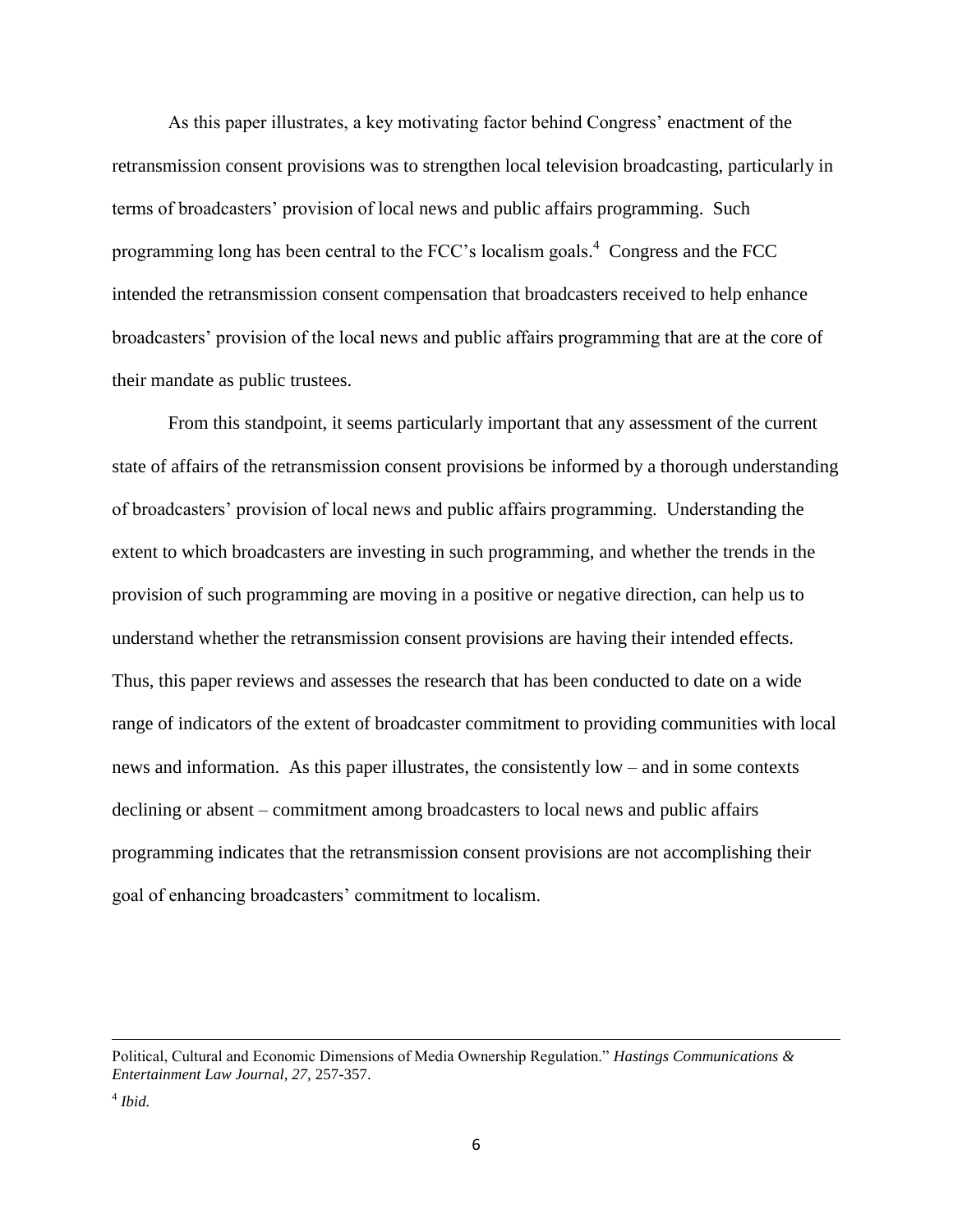As this paper illustrates, a key motivating factor behind Congress" enactment of the retransmission consent provisions was to strengthen local television broadcasting, particularly in terms of broadcasters" provision of local news and public affairs programming. Such programming long has been central to the FCC's localism goals.<sup>4</sup> Congress and the FCC intended the retransmission consent compensation that broadcasters received to help enhance broadcasters" provision of the local news and public affairs programming that are at the core of their mandate as public trustees.

From this standpoint, it seems particularly important that any assessment of the current state of affairs of the retransmission consent provisions be informed by a thorough understanding of broadcasters" provision of local news and public affairs programming. Understanding the extent to which broadcasters are investing in such programming, and whether the trends in the provision of such programming are moving in a positive or negative direction, can help us to understand whether the retransmission consent provisions are having their intended effects. Thus, this paper reviews and assesses the research that has been conducted to date on a wide range of indicators of the extent of broadcaster commitment to providing communities with local news and information. As this paper illustrates, the consistently low – and in some contexts declining or absent – commitment among broadcasters to local news and public affairs programming indicates that the retransmission consent provisions are not accomplishing their goal of enhancing broadcasters' commitment to localism.

Political, Cultural and Economic Dimensions of Media Ownership Regulation." *Hastings Communications & Entertainment Law Journal, 27,* 257-357.

<sup>4</sup> *Ibid.*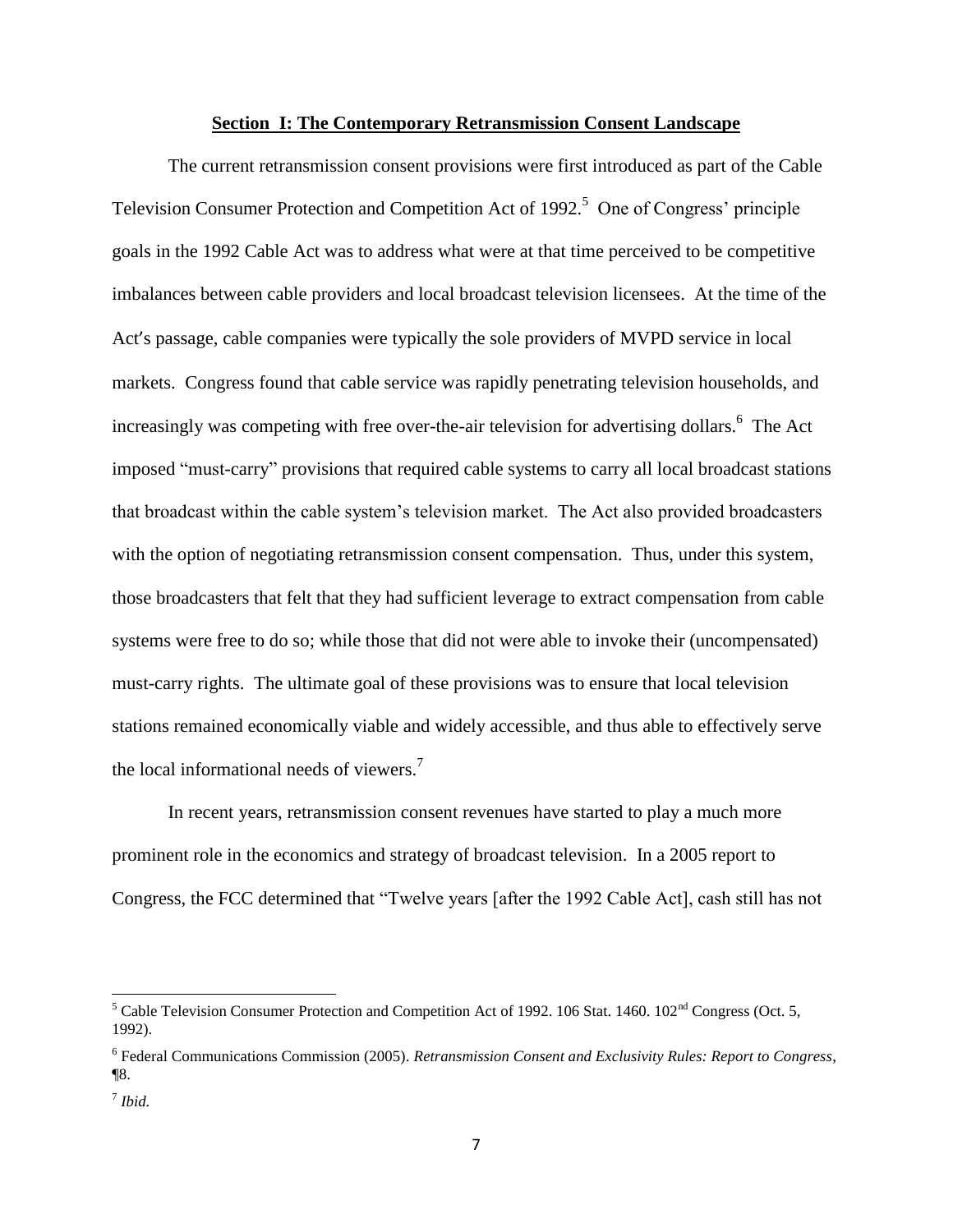#### **Section I: The Contemporary Retransmission Consent Landscape**

<span id="page-6-0"></span>The current retransmission consent provisions were first introduced as part of the Cable Television Consumer Protection and Competition Act of 1992.<sup>5</sup> One of Congress' principle goals in the 1992 Cable Act was to address what were at that time perceived to be competitive imbalances between cable providers and local broadcast television licensees. At the time of the Act's passage, cable companies were typically the sole providers of MVPD service in local markets. Congress found that cable service was rapidly penetrating television households, and increasingly was competing with free over-the-air television for advertising dollars.<sup>6</sup> The Act imposed "must-carry" provisions that required cable systems to carry all local broadcast stations that broadcast within the cable system"s television market. The Act also provided broadcasters with the option of negotiating retransmission consent compensation. Thus, under this system, those broadcasters that felt that they had sufficient leverage to extract compensation from cable systems were free to do so; while those that did not were able to invoke their (uncompensated) must-carry rights. The ultimate goal of these provisions was to ensure that local television stations remained economically viable and widely accessible, and thus able to effectively serve the local informational needs of viewers.<sup>7</sup>

In recent years, retransmission consent revenues have started to play a much more prominent role in the economics and strategy of broadcast television. In a 2005 report to Congress, the FCC determined that "Twelve years [after the 1992 Cable Act], cash still has not

 $\overline{a}$ 

<sup>&</sup>lt;sup>5</sup> Cable Television Consumer Protection and Competition Act of 1992. 106 Stat. 1460. 102<sup>nd</sup> Congress (Oct. 5, 1992).

<sup>6</sup> Federal Communications Commission (2005). *Retransmission Consent and Exclusivity Rules: Report to Congress*, ¶8.

<sup>7</sup> *Ibid.*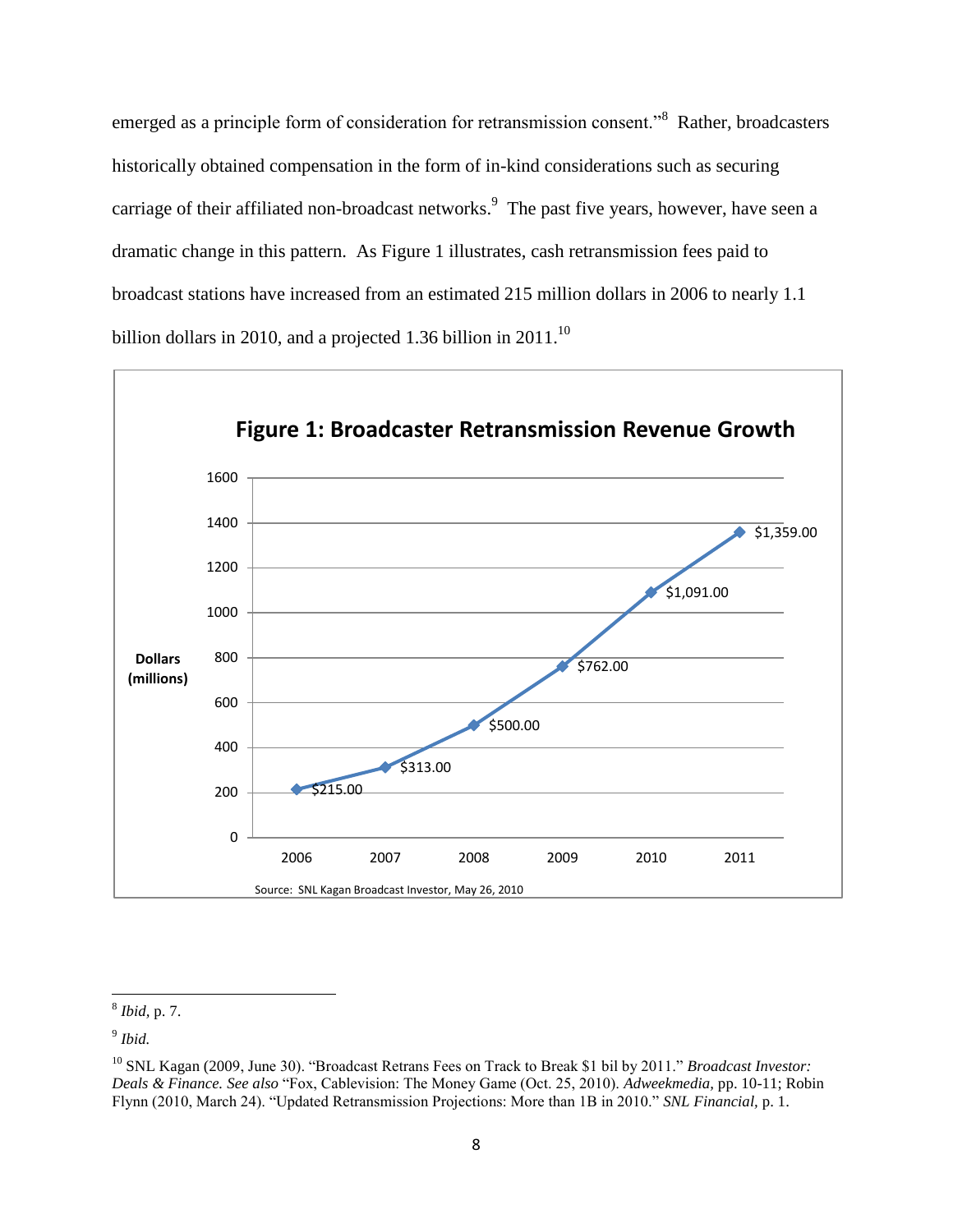emerged as a principle form of consideration for retransmission consent."<sup>8</sup> Rather, broadcasters historically obtained compensation in the form of in-kind considerations such as securing carriage of their affiliated non-broadcast networks.<sup>9</sup> The past five years, however, have seen a dramatic change in this pattern. As Figure 1 illustrates, cash retransmission fees paid to broadcast stations have increased from an estimated 215 million dollars in 2006 to nearly 1.1 billion dollars in 2010, and a projected 1.36 billion in 2011.<sup>10</sup>



 8 *Ibid,* p. 7.

<sup>9</sup> *Ibid.*

<sup>10</sup> SNL Kagan (2009, June 30). "Broadcast Retrans Fees on Track to Break \$1 bil by 2011." *Broadcast Investor: Deals & Finance. See also* "Fox, Cablevision: The Money Game (Oct. 25, 2010). *Adweekmedia,* pp. 10-11; Robin Flynn (2010, March 24). "Updated Retransmission Projections: More than 1B in 2010." *SNL Financial,* p. 1.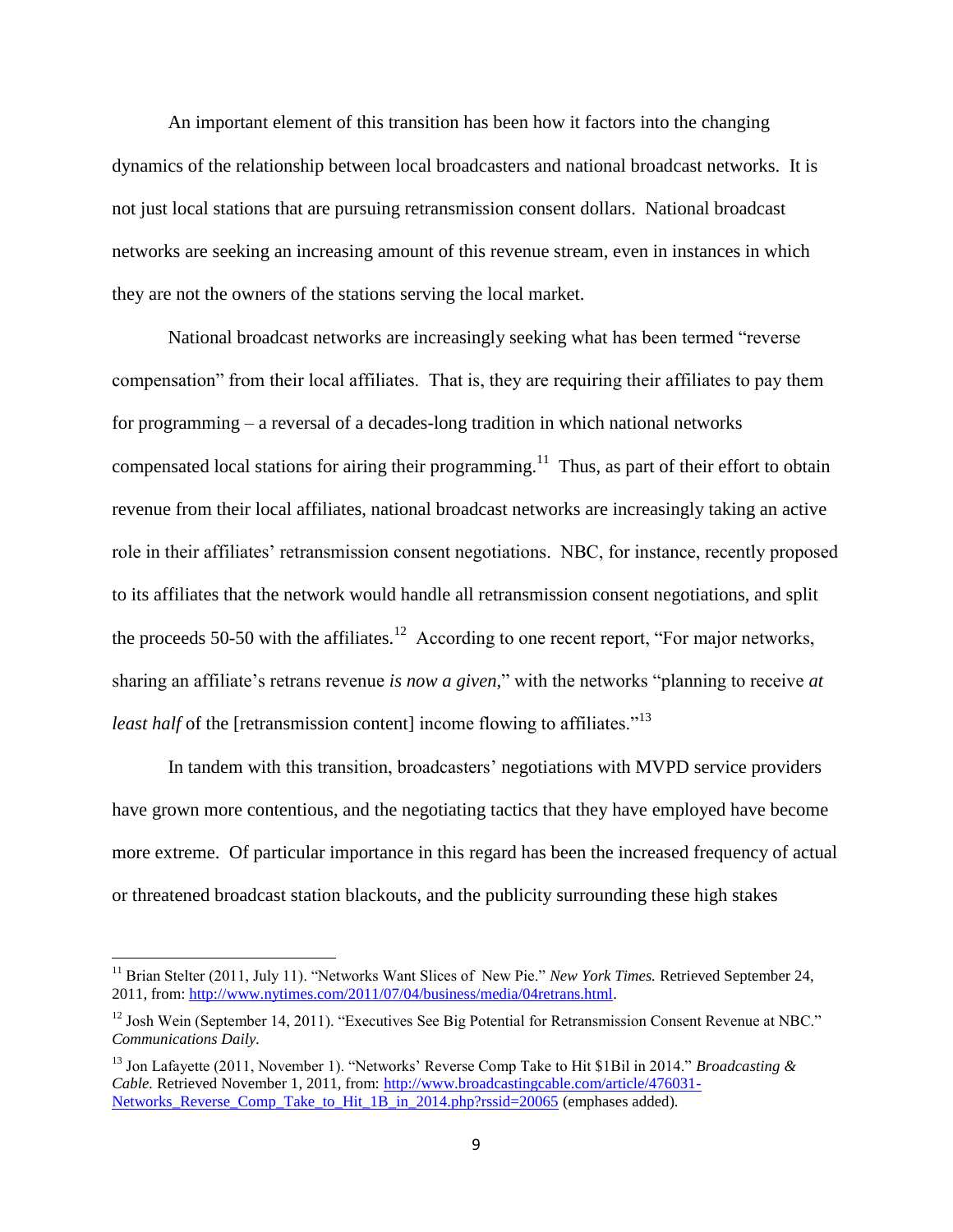An important element of this transition has been how it factors into the changing dynamics of the relationship between local broadcasters and national broadcast networks. It is not just local stations that are pursuing retransmission consent dollars. National broadcast networks are seeking an increasing amount of this revenue stream, even in instances in which they are not the owners of the stations serving the local market.

National broadcast networks are increasingly seeking what has been termed "reverse compensation" from their local affiliates. That is, they are requiring their affiliates to pay them for programming – a reversal of a decades-long tradition in which national networks compensated local stations for airing their programming.<sup>11</sup> Thus, as part of their effort to obtain revenue from their local affiliates, national broadcast networks are increasingly taking an active role in their affiliates' retransmission consent negotiations. NBC, for instance, recently proposed to its affiliates that the network would handle all retransmission consent negotiations, and split the proceeds 50-50 with the affiliates.<sup>12</sup> According to one recent report, "For major networks, sharing an affiliate's retrans revenue *is now a given*," with the networks "planning to receive *at least half* of the [retransmission content] income flowing to affiliates."<sup>13</sup>

In tandem with this transition, broadcasters' negotiations with MVPD service providers have grown more contentious, and the negotiating tactics that they have employed have become more extreme. Of particular importance in this regard has been the increased frequency of actual or threatened broadcast station blackouts, and the publicity surrounding these high stakes

<sup>&</sup>lt;sup>11</sup> Brian Stelter (2011, July 11). "Networks Want Slices of New Pie." *New York Times*. Retrieved September 24, 2011, from[: http://www.nytimes.com/2011/07/04/business/media/04retrans.html.](http://www.nytimes.com/2011/07/04/business/media/04retrans.html)

<sup>&</sup>lt;sup>12</sup> Josh Wein (September 14, 2011). "Executives See Big Potential for Retransmission Consent Revenue at NBC." *Communications Daily.*

<sup>13</sup> Jon Lafayette (2011, November 1). "Networks" Reverse Comp Take to Hit \$1Bil in 2014." *Broadcasting & Cable.* Retrieved November 1, 2011, from: [http://www.broadcastingcable.com/article/476031-](http://www.broadcastingcable.com/article/476031-Networks_Reverse_Comp_Take_to_Hit_1B_in_2014.php?rssid=20065) Networks Reverse Comp Take to Hit 1B in 2014.php?rssid=20065 (emphases added).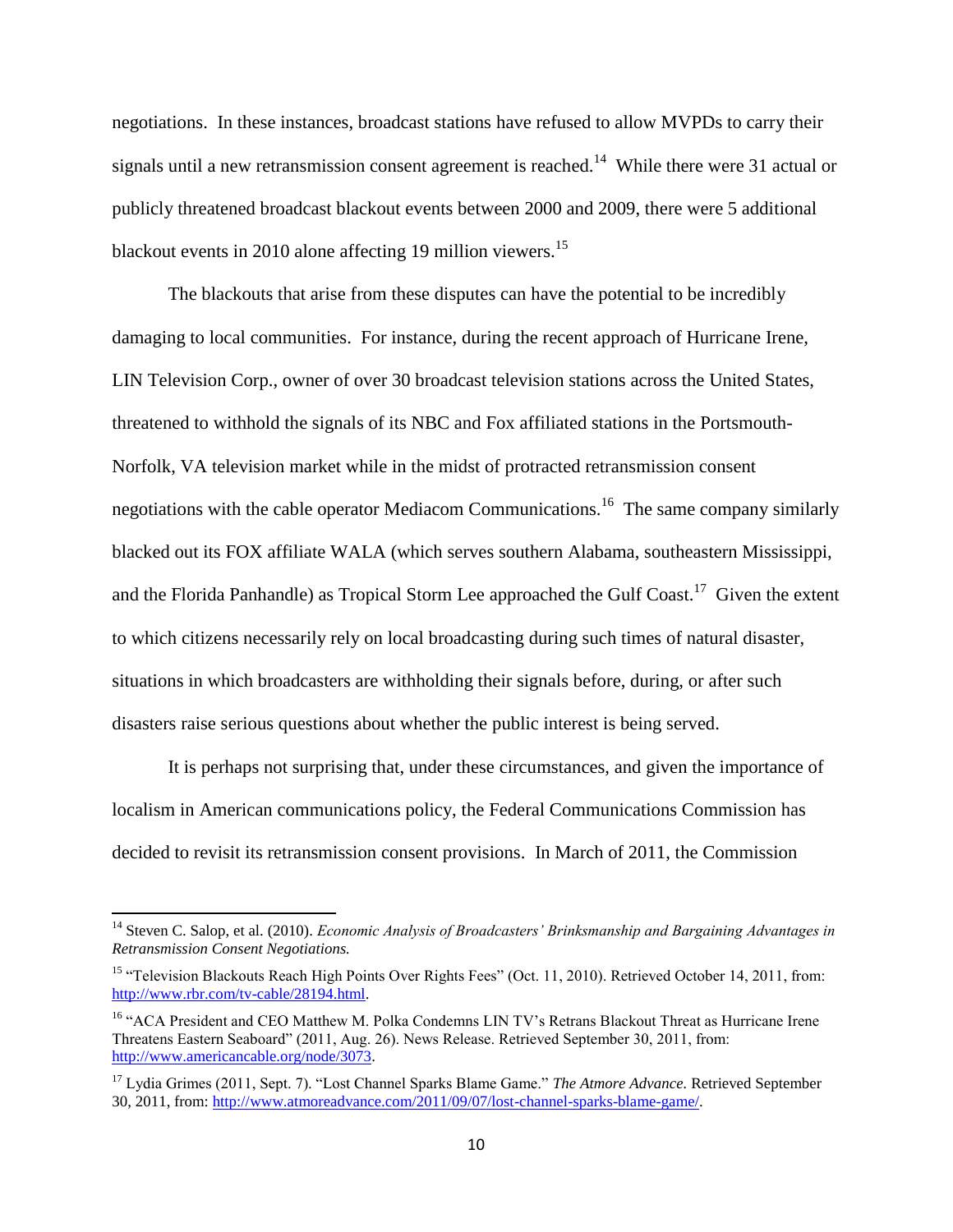negotiations. In these instances, broadcast stations have refused to allow MVPDs to carry their signals until a new retransmission consent agreement is reached.<sup>14</sup> While there were 31 actual or publicly threatened broadcast blackout events between 2000 and 2009, there were 5 additional blackout events in 2010 alone affecting 19 million viewers.<sup>15</sup>

The blackouts that arise from these disputes can have the potential to be incredibly damaging to local communities. For instance, during the recent approach of Hurricane Irene, LIN Television Corp., owner of over 30 broadcast television stations across the United States, threatened to withhold the signals of its NBC and Fox affiliated stations in the Portsmouth-Norfolk, VA television market while in the midst of protracted retransmission consent negotiations with the cable operator Mediacom Communications.<sup>16</sup> The same company similarly blacked out its FOX affiliate WALA (which serves southern Alabama, southeastern Mississippi, and the Florida Panhandle) as Tropical Storm Lee approached the Gulf Coast.<sup>17</sup> Given the extent to which citizens necessarily rely on local broadcasting during such times of natural disaster, situations in which broadcasters are withholding their signals before, during, or after such disasters raise serious questions about whether the public interest is being served.

It is perhaps not surprising that, under these circumstances, and given the importance of localism in American communications policy, the Federal Communications Commission has decided to revisit its retransmission consent provisions. In March of 2011, the Commission

<sup>&</sup>lt;sup>14</sup> Steven C. Salop, et al. (2010). *Economic Analysis of Broadcasters' Brinksmanship and Bargaining Advantages in Retransmission Consent Negotiations.*

<sup>&</sup>lt;sup>15</sup> "Television Blackouts Reach High Points Over Rights Fees" (Oct. 11, 2010). Retrieved October 14, 2011, from: [http://www.rbr.com/tv-cable/28194.html.](http://www.rbr.com/tv-cable/28194.html)

<sup>&</sup>lt;sup>16</sup> "ACA President and CEO Matthew M. Polka Condemns LIN TV's Retrans Blackout Threat as Hurricane Irene Threatens Eastern Seaboard" (2011, Aug. 26). News Release. Retrieved September 30, 2011, from: [http://www.americancable.org/node/3073.](http://www.americancable.org/node/3073)

<sup>17</sup> Lydia Grimes (2011, Sept. 7). "Lost Channel Sparks Blame Game." *The Atmore Advance.* Retrieved September 30, 2011, from[: http://www.atmoreadvance.com/2011/09/07/lost-channel-sparks-blame-game/.](http://www.atmoreadvance.com/2011/09/07/lost-channel-sparks-blame-game/)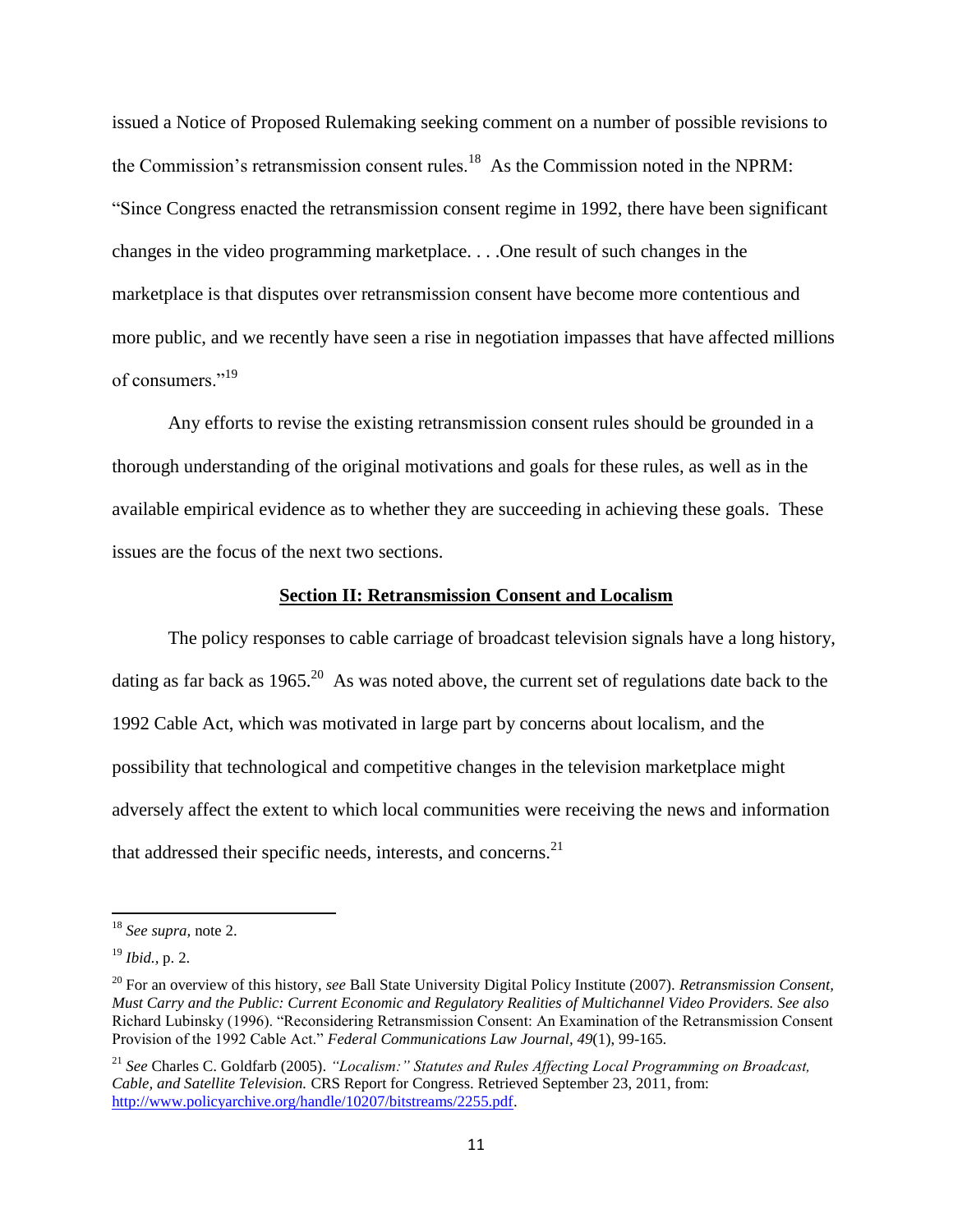issued a Notice of Proposed Rulemaking seeking comment on a number of possible revisions to the Commission's retransmission consent rules.<sup>18</sup> As the Commission noted in the NPRM: "Since Congress enacted the retransmission consent regime in 1992, there have been significant changes in the video programming marketplace. . . .One result of such changes in the marketplace is that disputes over retransmission consent have become more contentious and more public, and we recently have seen a rise in negotiation impasses that have affected millions of consumers<sup>"19</sup>

Any efforts to revise the existing retransmission consent rules should be grounded in a thorough understanding of the original motivations and goals for these rules, as well as in the available empirical evidence as to whether they are succeeding in achieving these goals. These issues are the focus of the next two sections.

#### **Section II: Retransmission Consent and Localism**

<span id="page-10-0"></span>The policy responses to cable carriage of broadcast television signals have a long history, dating as far back as  $1965$ <sup>20</sup> As was noted above, the current set of regulations date back to the 1992 Cable Act, which was motivated in large part by concerns about localism, and the possibility that technological and competitive changes in the television marketplace might adversely affect the extent to which local communities were receiving the news and information that addressed their specific needs, interests, and concerns.<sup>21</sup>

<sup>18</sup> *See supra,* note 2.

<sup>19</sup> *Ibid.,* p. 2.

<sup>20</sup> For an overview of this history, *see* Ball State University Digital Policy Institute (2007). *Retransmission Consent, Must Carry and the Public: Current Economic and Regulatory Realities of Multichannel Video Providers. See also* Richard Lubinsky (1996). "Reconsidering Retransmission Consent: An Examination of the Retransmission Consent Provision of the 1992 Cable Act." *Federal Communications Law Journal, 49*(1), 99-165.

<sup>21</sup> *See* Charles C. Goldfarb (2005). *"Localism:" Statutes and Rules Affecting Local Programming on Broadcast, Cable, and Satellite Television.* CRS Report for Congress. Retrieved September 23, 2011, from: [http://www.policyarchive.org/handle/10207/bitstreams/2255.pdf.](http://www.policyarchive.org/handle/10207/bitstreams/2255.pdf)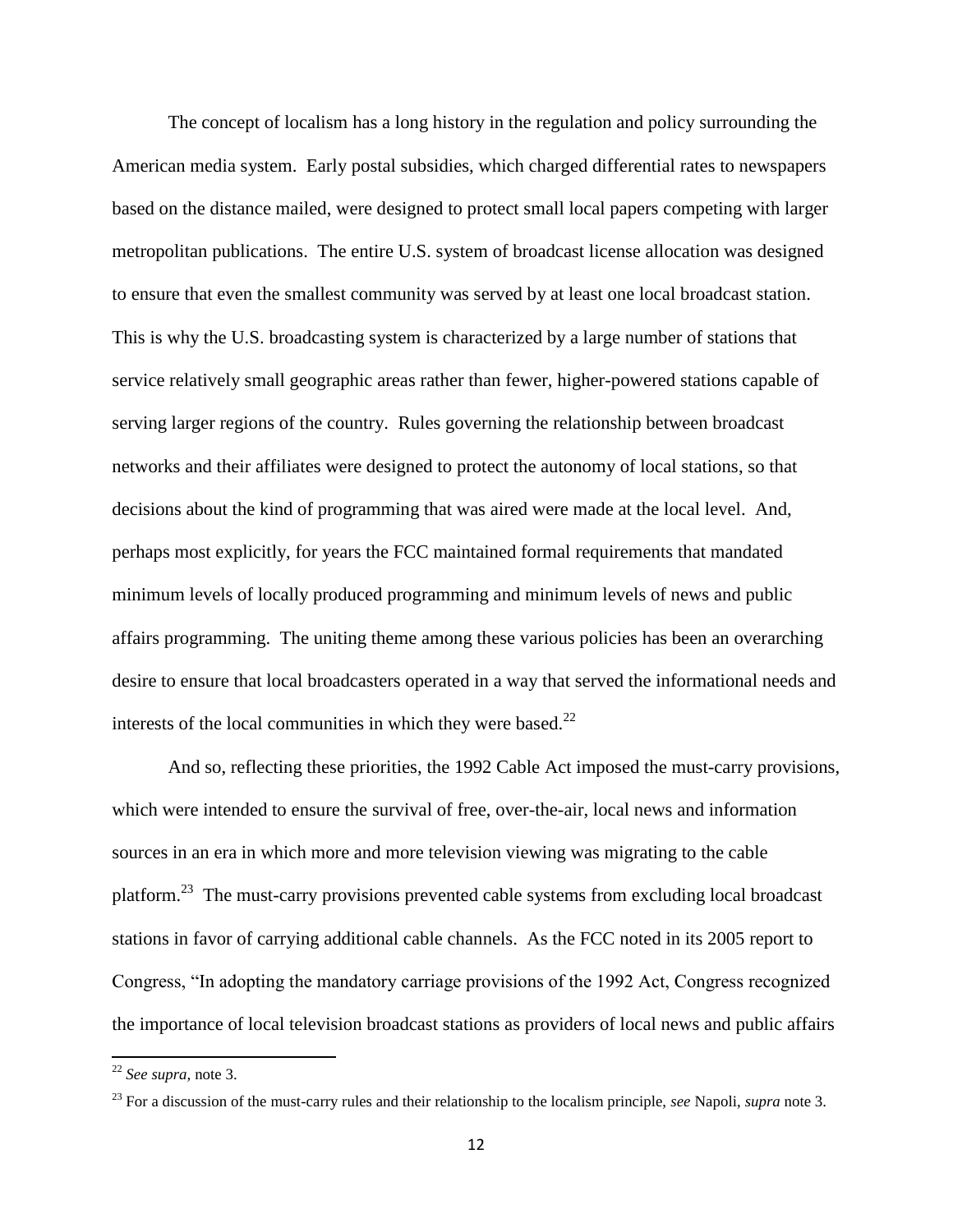The concept of localism has a long history in the regulation and policy surrounding the American media system. Early postal subsidies, which charged differential rates to newspapers based on the distance mailed, were designed to protect small local papers competing with larger metropolitan publications. The entire U.S. system of broadcast license allocation was designed to ensure that even the smallest community was served by at least one local broadcast station. This is why the U.S. broadcasting system is characterized by a large number of stations that service relatively small geographic areas rather than fewer, higher-powered stations capable of serving larger regions of the country. Rules governing the relationship between broadcast networks and their affiliates were designed to protect the autonomy of local stations, so that decisions about the kind of programming that was aired were made at the local level. And, perhaps most explicitly, for years the FCC maintained formal requirements that mandated minimum levels of locally produced programming and minimum levels of news and public affairs programming. The uniting theme among these various policies has been an overarching desire to ensure that local broadcasters operated in a way that served the informational needs and interests of the local communities in which they were based. $22$ 

And so, reflecting these priorities, the 1992 Cable Act imposed the must-carry provisions, which were intended to ensure the survival of free, over-the-air, local news and information sources in an era in which more and more television viewing was migrating to the cable platform.<sup>23</sup> The must-carry provisions prevented cable systems from excluding local broadcast stations in favor of carrying additional cable channels. As the FCC noted in its 2005 report to Congress, "In adopting the mandatory carriage provisions of the 1992 Act, Congress recognized the importance of local television broadcast stations as providers of local news and public affairs

<sup>22</sup> *See supra,* note 3.

<sup>23</sup> For a discussion of the must-carry rules and their relationship to the localism principle, *see* Napoli, *supra* note 3.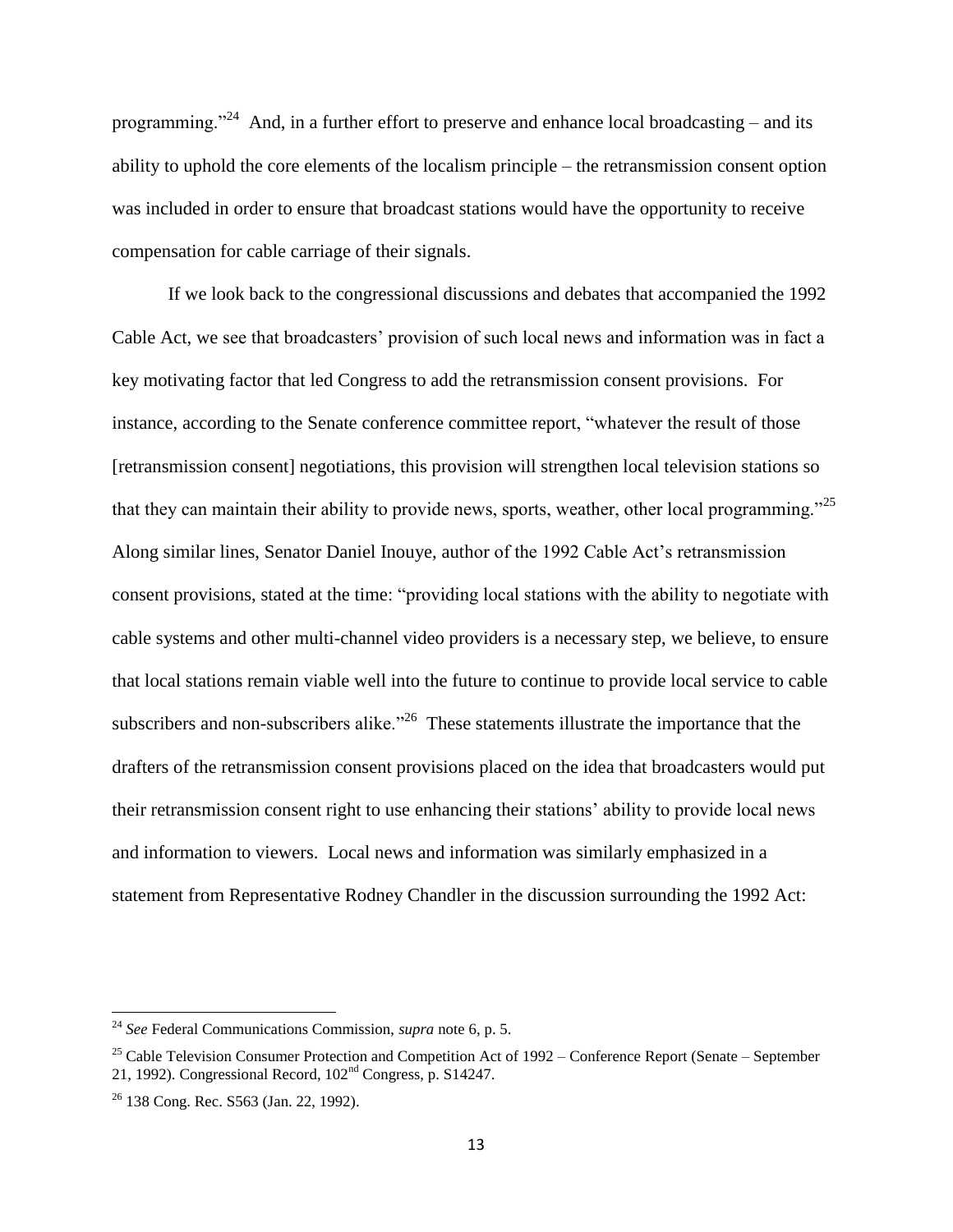programming."<sup>24</sup> And, in a further effort to preserve and enhance local broadcasting – and its ability to uphold the core elements of the localism principle – the retransmission consent option was included in order to ensure that broadcast stations would have the opportunity to receive compensation for cable carriage of their signals.

If we look back to the congressional discussions and debates that accompanied the 1992 Cable Act, we see that broadcasters' provision of such local news and information was in fact a key motivating factor that led Congress to add the retransmission consent provisions. For instance, according to the Senate conference committee report, "whatever the result of those [retransmission consent] negotiations, this provision will strengthen local television stations so that they can maintain their ability to provide news, sports, weather, other local programming."<sup>25</sup> Along similar lines, Senator Daniel Inouye, author of the 1992 Cable Act"s retransmission consent provisions, stated at the time: "providing local stations with the ability to negotiate with cable systems and other multi-channel video providers is a necessary step, we believe, to ensure that local stations remain viable well into the future to continue to provide local service to cable subscribers and non-subscribers alike.<sup> $26$ </sup> These statements illustrate the importance that the drafters of the retransmission consent provisions placed on the idea that broadcasters would put their retransmission consent right to use enhancing their stations" ability to provide local news and information to viewers. Local news and information was similarly emphasized in a statement from Representative Rodney Chandler in the discussion surrounding the 1992 Act:

<sup>24</sup> *See* Federal Communications Commission, *supra* note 6, p. 5.

<sup>&</sup>lt;sup>25</sup> Cable Television Consumer Protection and Competition Act of 1992 – Conference Report (Senate – September 21, 1992). Congressional Record,  $102<sup>nd</sup>$  Congress, p. S14247.

<sup>26</sup> 138 Cong. Rec. S563 (Jan. 22, 1992).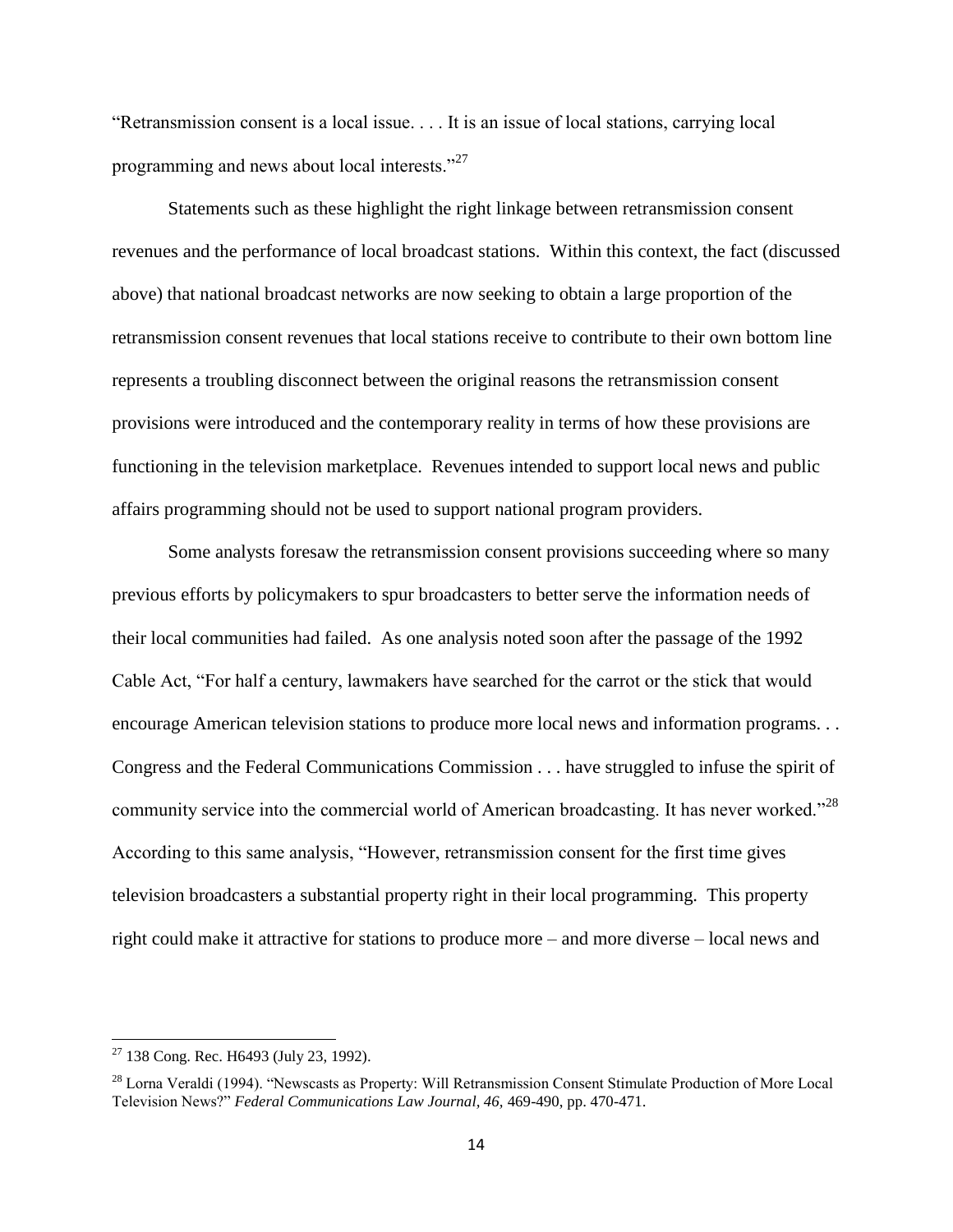"Retransmission consent is a local issue. . . . It is an issue of local stations, carrying local programming and news about local interests."<sup>27</sup>

Statements such as these highlight the right linkage between retransmission consent revenues and the performance of local broadcast stations. Within this context, the fact (discussed above) that national broadcast networks are now seeking to obtain a large proportion of the retransmission consent revenues that local stations receive to contribute to their own bottom line represents a troubling disconnect between the original reasons the retransmission consent provisions were introduced and the contemporary reality in terms of how these provisions are functioning in the television marketplace. Revenues intended to support local news and public affairs programming should not be used to support national program providers.

Some analysts foresaw the retransmission consent provisions succeeding where so many previous efforts by policymakers to spur broadcasters to better serve the information needs of their local communities had failed. As one analysis noted soon after the passage of the 1992 Cable Act, "For half a century, lawmakers have searched for the carrot or the stick that would encourage American television stations to produce more local news and information programs. . . Congress and the Federal Communications Commission . . . have struggled to infuse the spirit of community service into the commercial world of American broadcasting. It has never worked."<sup>28</sup> According to this same analysis, "However, retransmission consent for the first time gives television broadcasters a substantial property right in their local programming. This property right could make it attractive for stations to produce more – and more diverse – local news and

 $27$  138 Cong. Rec. H6493 (July 23, 1992).

<sup>&</sup>lt;sup>28</sup> Lorna Veraldi (1994). "Newscasts as Property: Will Retransmission Consent Stimulate Production of More Local Television News?" *Federal Communications Law Journal, 46,* 469-490, pp. 470-471.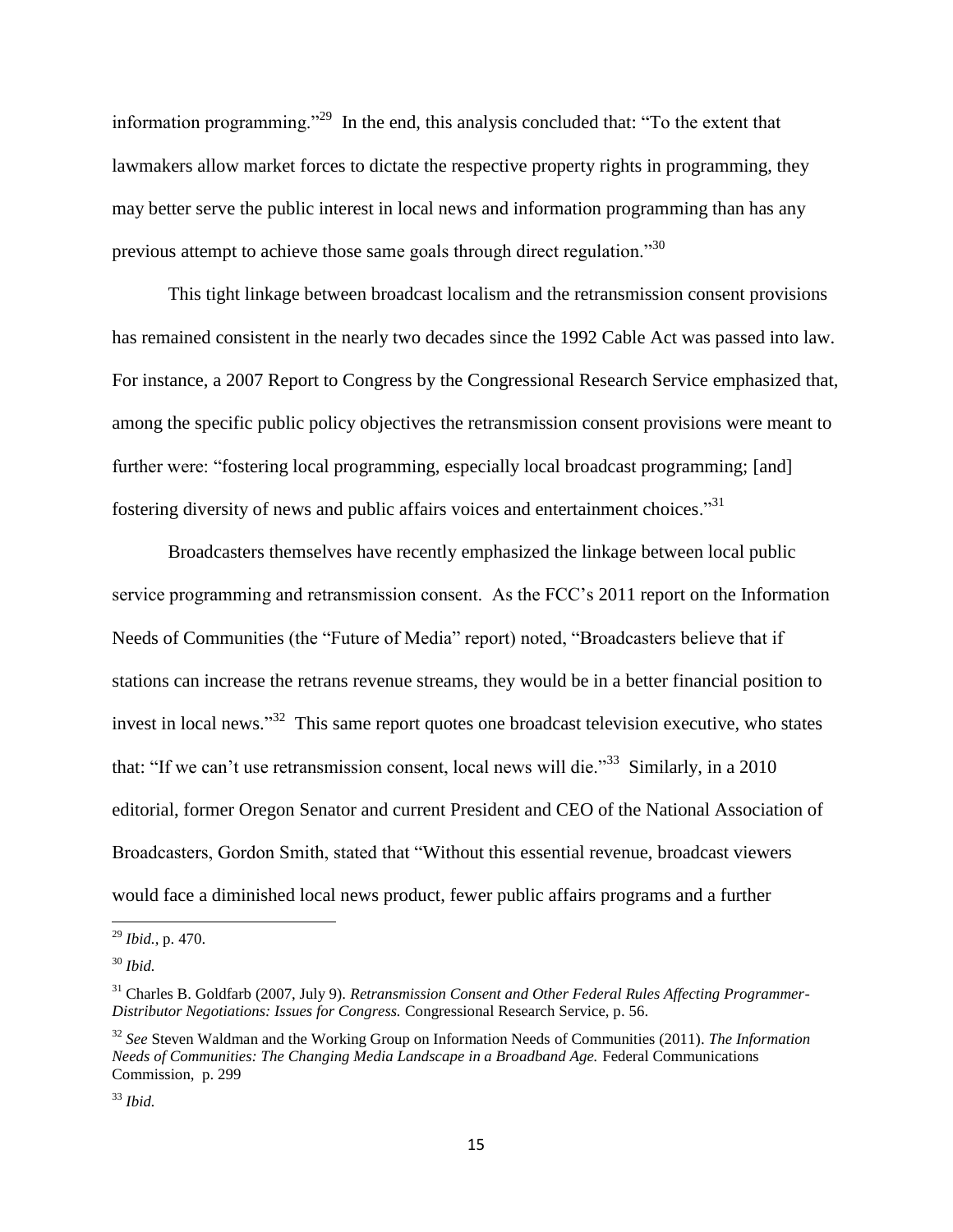information programming."<sup>29</sup> In the end, this analysis concluded that: "To the extent that lawmakers allow market forces to dictate the respective property rights in programming, they may better serve the public interest in local news and information programming than has any previous attempt to achieve those same goals through direct regulation."<sup>30</sup>

This tight linkage between broadcast localism and the retransmission consent provisions has remained consistent in the nearly two decades since the 1992 Cable Act was passed into law. For instance, a 2007 Report to Congress by the Congressional Research Service emphasized that, among the specific public policy objectives the retransmission consent provisions were meant to further were: "fostering local programming, especially local broadcast programming; [and] fostering diversity of news and public affairs voices and entertainment choices."<sup>31</sup>

Broadcasters themselves have recently emphasized the linkage between local public service programming and retransmission consent. As the FCC"s 2011 report on the Information Needs of Communities (the "Future of Media" report) noted, "Broadcasters believe that if stations can increase the retrans revenue streams, they would be in a better financial position to invest in local news."<sup>32</sup> This same report quotes one broadcast television executive, who states that: "If we can't use retransmission consent, local news will die."<sup>33</sup> Similarly, in a 2010 editorial, former Oregon Senator and current President and CEO of the National Association of Broadcasters, Gordon Smith, stated that "Without this essential revenue, broadcast viewers would face a diminished local news product, fewer public affairs programs and a further

 $\overline{a}$ 

<sup>29</sup> *Ibid.,* p. 470.

<sup>30</sup> *Ibid.*

<sup>31</sup> Charles B. Goldfarb (2007, July 9). *Retransmission Consent and Other Federal Rules Affecting Programmer-Distributor Negotiations: Issues for Congress.* Congressional Research Service, p. 56.

<sup>32</sup> *See* Steven Waldman and the Working Group on Information Needs of Communities (2011). *The Information Needs of Communities: The Changing Media Landscape in a Broadband Age.* Federal Communications Commission, p. 299

<sup>33</sup> *Ibid.*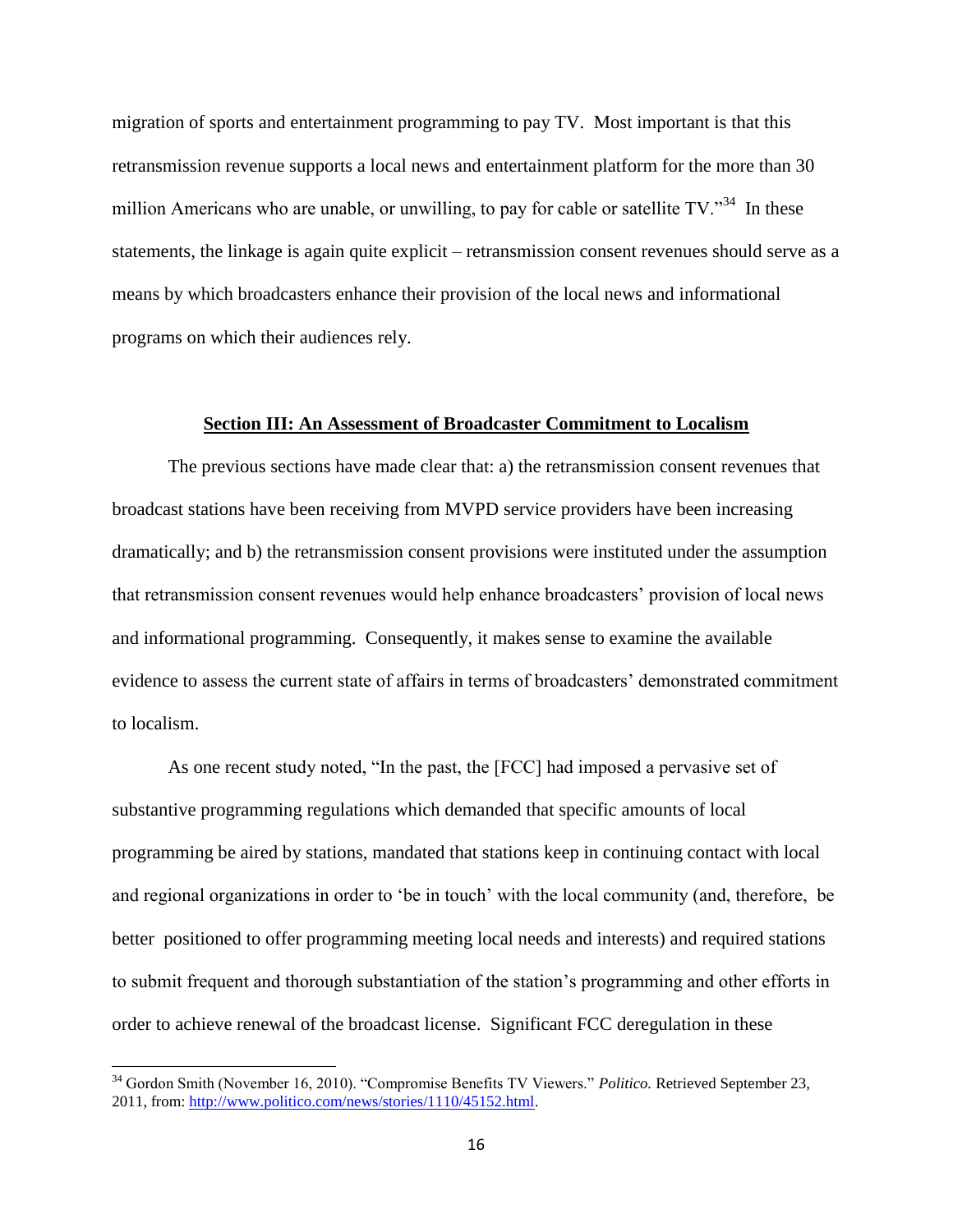migration of sports and entertainment programming to pay TV. Most important is that this retransmission revenue supports a local news and entertainment platform for the more than 30 million Americans who are unable, or unwilling, to pay for cable or satellite  $TV$ .<sup>34</sup> In these statements, the linkage is again quite explicit – retransmission consent revenues should serve as a means by which broadcasters enhance their provision of the local news and informational programs on which their audiences rely.

### **Section III: An Assessment of Broadcaster Commitment to Localism**

<span id="page-15-0"></span>The previous sections have made clear that: a) the retransmission consent revenues that broadcast stations have been receiving from MVPD service providers have been increasing dramatically; and b) the retransmission consent provisions were instituted under the assumption that retransmission consent revenues would help enhance broadcasters" provision of local news and informational programming. Consequently, it makes sense to examine the available evidence to assess the current state of affairs in terms of broadcasters" demonstrated commitment to localism.

As one recent study noted, "In the past, the [FCC] had imposed a pervasive set of substantive programming regulations which demanded that specific amounts of local programming be aired by stations, mandated that stations keep in continuing contact with local and regional organizations in order to 'be in touch' with the local community (and, therefore, be better positioned to offer programming meeting local needs and interests) and required stations to submit frequent and thorough substantiation of the station"s programming and other efforts in order to achieve renewal of the broadcast license. Significant FCC deregulation in these

<sup>34</sup> Gordon Smith (November 16, 2010). "Compromise Benefits TV Viewers." *Politico.* Retrieved September 23, 2011, from[: http://www.politico.com/news/stories/1110/45152.html.](http://www.politico.com/news/stories/1110/45152.html)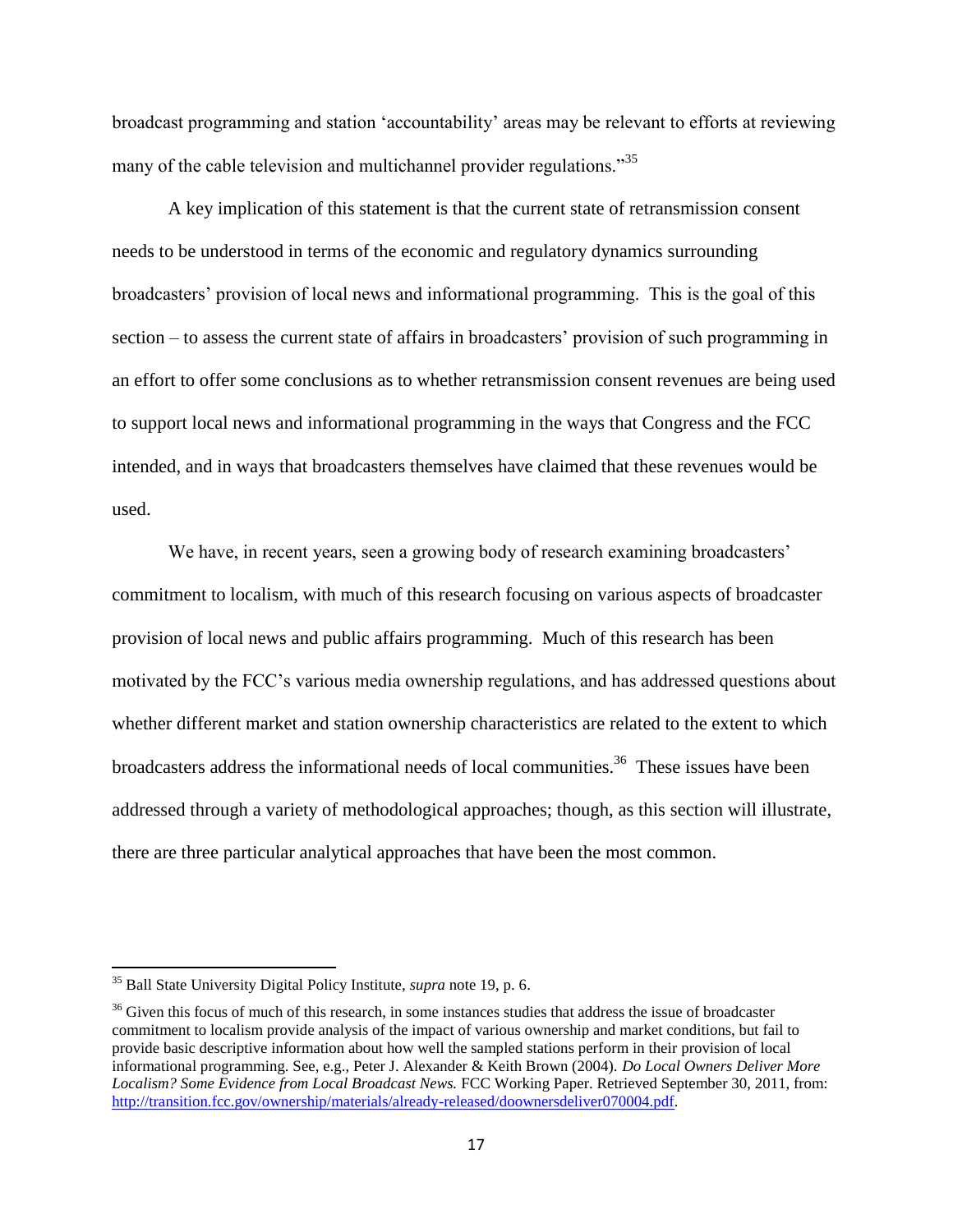broadcast programming and station "accountability" areas may be relevant to efforts at reviewing many of the cable television and multichannel provider regulations.<sup>35</sup>

A key implication of this statement is that the current state of retransmission consent needs to be understood in terms of the economic and regulatory dynamics surrounding broadcasters" provision of local news and informational programming. This is the goal of this section – to assess the current state of affairs in broadcasters' provision of such programming in an effort to offer some conclusions as to whether retransmission consent revenues are being used to support local news and informational programming in the ways that Congress and the FCC intended, and in ways that broadcasters themselves have claimed that these revenues would be used.

We have, in recent years, seen a growing body of research examining broadcasters' commitment to localism, with much of this research focusing on various aspects of broadcaster provision of local news and public affairs programming. Much of this research has been motivated by the FCC"s various media ownership regulations, and has addressed questions about whether different market and station ownership characteristics are related to the extent to which broadcasters address the informational needs of local communities.<sup>36</sup> These issues have been addressed through a variety of methodological approaches; though, as this section will illustrate, there are three particular analytical approaches that have been the most common.

<sup>35</sup> Ball State University Digital Policy Institute, *supra* note 19, p. 6.

<sup>&</sup>lt;sup>36</sup> Given this focus of much of this research, in some instances studies that address the issue of broadcaster commitment to localism provide analysis of the impact of various ownership and market conditions, but fail to provide basic descriptive information about how well the sampled stations perform in their provision of local informational programming. See, e.g., Peter J. Alexander & Keith Brown (2004). *Do Local Owners Deliver More Localism? Some Evidence from Local Broadcast News.* FCC Working Paper. Retrieved September 30, 2011, from: [http://transition.fcc.gov/ownership/materials/already-released/doownersdeliver070004.pdf.](http://transition.fcc.gov/ownership/materials/already-released/doownersdeliver070004.pdf)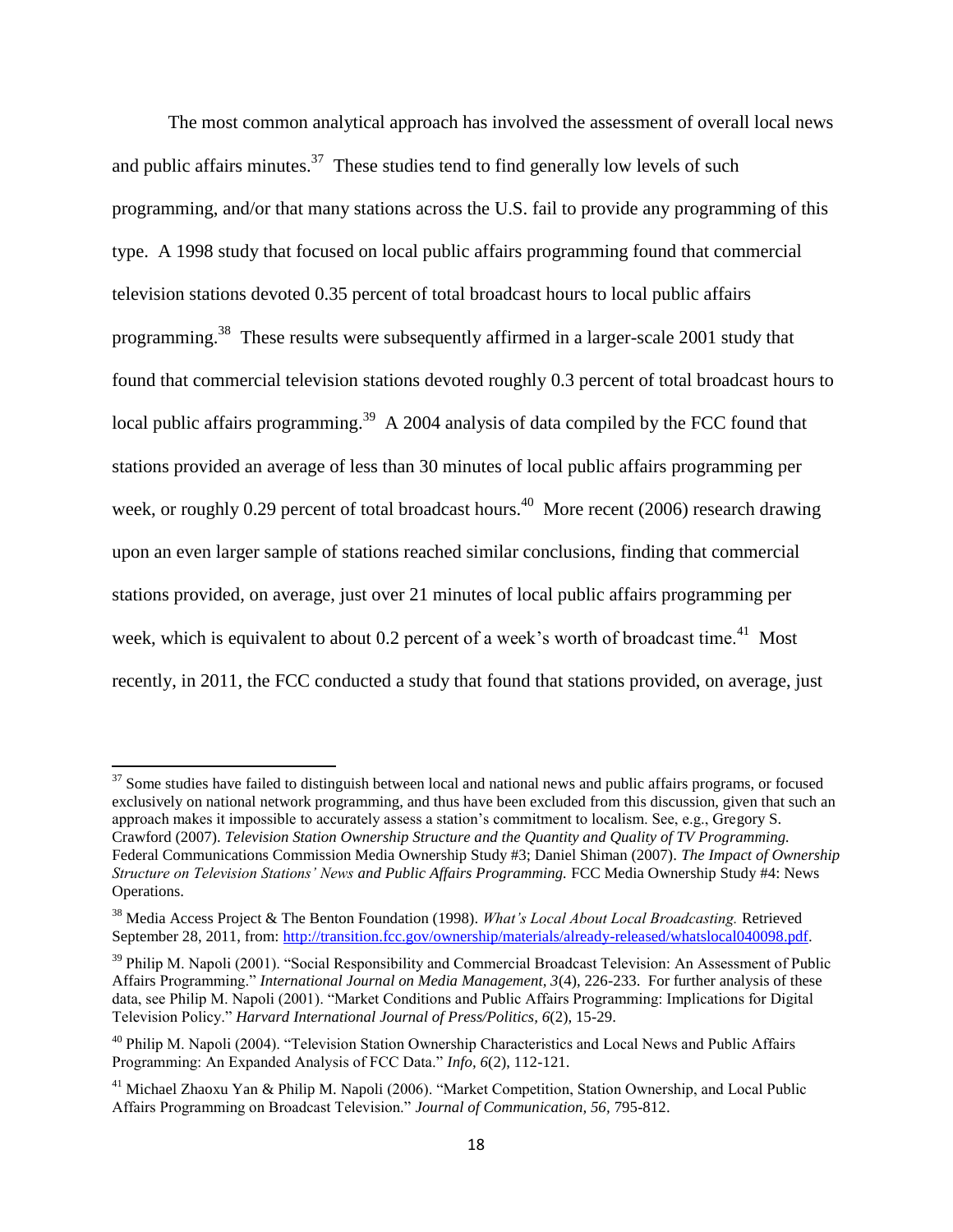The most common analytical approach has involved the assessment of overall local news and public affairs minutes. $37$  These studies tend to find generally low levels of such programming, and/or that many stations across the U.S. fail to provide any programming of this type. A 1998 study that focused on local public affairs programming found that commercial television stations devoted 0.35 percent of total broadcast hours to local public affairs programming.<sup>38</sup> These results were subsequently affirmed in a larger-scale 2001 study that found that commercial television stations devoted roughly 0.3 percent of total broadcast hours to local public affairs programming.<sup>39</sup> A 2004 analysis of data compiled by the FCC found that stations provided an average of less than 30 minutes of local public affairs programming per week, or roughly 0.29 percent of total broadcast hours.<sup>40</sup> More recent (2006) research drawing upon an even larger sample of stations reached similar conclusions, finding that commercial stations provided, on average, just over 21 minutes of local public affairs programming per week, which is equivalent to about 0.2 percent of a week's worth of broadcast time.<sup>41</sup> Most recently, in 2011, the FCC conducted a study that found that stations provided, on average, just

 $\overline{a}$ 

 $37$  Some studies have failed to distinguish between local and national news and public affairs programs, or focused exclusively on national network programming, and thus have been excluded from this discussion, given that such an approach makes it impossible to accurately assess a station"s commitment to localism. See, e.g., Gregory S. Crawford (2007). *Television Station Ownership Structure and the Quantity and Quality of TV Programming.* Federal Communications Commission Media Ownership Study #3; Daniel Shiman (2007). *The Impact of Ownership Structure on Television Stations' News and Public Affairs Programming.* FCC Media Ownership Study #4: News Operations.

<sup>38</sup> Media Access Project & The Benton Foundation (1998). *What's Local About Local Broadcasting.* Retrieved September 28, 2011, from: [http://transition.fcc.gov/ownership/materials/already-released/whatslocal040098.pdf.](http://transition.fcc.gov/ownership/materials/already-released/whatslocal040098.pdf)

<sup>&</sup>lt;sup>39</sup> Philip M. Napoli (2001). "Social Responsibility and Commercial Broadcast Television: An Assessment of Public Affairs Programming." *International Journal on Media Management, 3*(4), 226-233. For further analysis of these data, see Philip M. Napoli (2001). "Market Conditions and Public Affairs Programming: Implications for Digital Television Policy." *Harvard International Journal of Press/Politics, 6*(2), 15-29.

<sup>&</sup>lt;sup>40</sup> Philip M. Napoli (2004). "Television Station Ownership Characteristics and Local News and Public Affairs Programming: An Expanded Analysis of FCC Data." *Info, 6*(2), 112-121.

<sup>41</sup> Michael Zhaoxu Yan & Philip M. Napoli (2006). "Market Competition, Station Ownership, and Local Public Affairs Programming on Broadcast Television." *Journal of Communication, 56,* 795-812.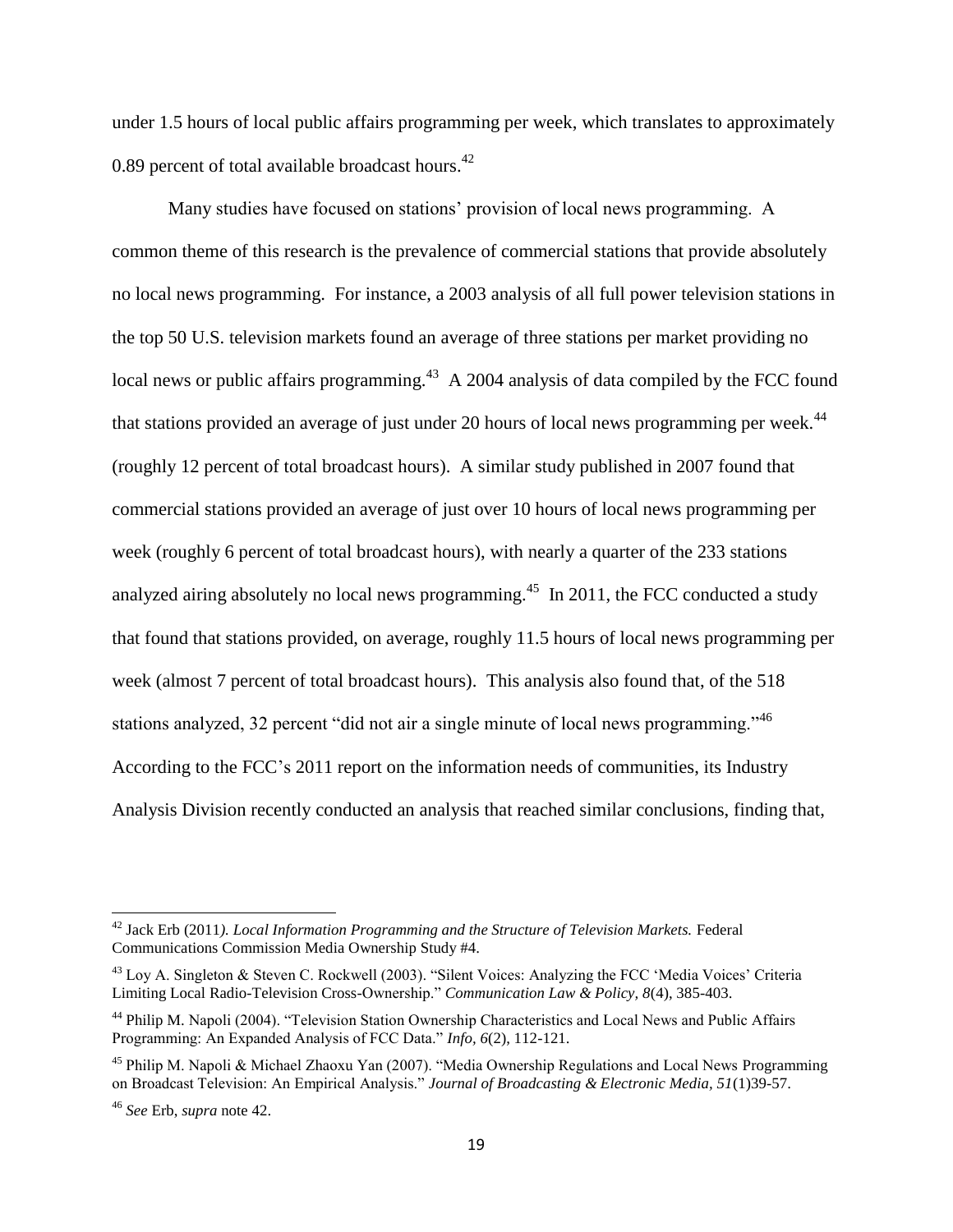under 1.5 hours of local public affairs programming per week, which translates to approximately 0.89 percent of total available broadcast hours. $42$ 

Many studies have focused on stations" provision of local news programming. A common theme of this research is the prevalence of commercial stations that provide absolutely no local news programming. For instance, a 2003 analysis of all full power television stations in the top 50 U.S. television markets found an average of three stations per market providing no local news or public affairs programming.<sup>43</sup> A 2004 analysis of data compiled by the FCC found that stations provided an average of just under 20 hours of local news programming per week. $^{44}$ (roughly 12 percent of total broadcast hours). A similar study published in 2007 found that commercial stations provided an average of just over 10 hours of local news programming per week (roughly 6 percent of total broadcast hours), with nearly a quarter of the 233 stations analyzed airing absolutely no local news programming.<sup>45</sup> In 2011, the FCC conducted a study that found that stations provided, on average, roughly 11.5 hours of local news programming per week (almost 7 percent of total broadcast hours). This analysis also found that, of the 518 stations analyzed, 32 percent "did not air a single minute of local news programming."<sup>46</sup> According to the FCC"s 2011 report on the information needs of communities, its Industry Analysis Division recently conducted an analysis that reached similar conclusions, finding that,

<sup>42</sup> Jack Erb (2011*). Local Information Programming and the Structure of Television Markets.* Federal Communications Commission Media Ownership Study #4.

<sup>&</sup>lt;sup>43</sup> Loy A. Singleton & Steven C. Rockwell (2003). "Silent Voices: Analyzing the FCC 'Media Voices' Criteria Limiting Local Radio-Television Cross-Ownership." *Communication Law & Policy, 8*(4), 385-403.

<sup>&</sup>lt;sup>44</sup> Philip M. Napoli (2004). "Television Station Ownership Characteristics and Local News and Public Affairs Programming: An Expanded Analysis of FCC Data." *Info, 6*(2), 112-121.

<sup>45</sup> Philip M. Napoli & Michael Zhaoxu Yan (2007). "Media Ownership Regulations and Local News Programming on Broadcast Television: An Empirical Analysis." *Journal of Broadcasting & Electronic Media, 51*(1)39-57.

<sup>46</sup> *See* Erb, *supra* note 42.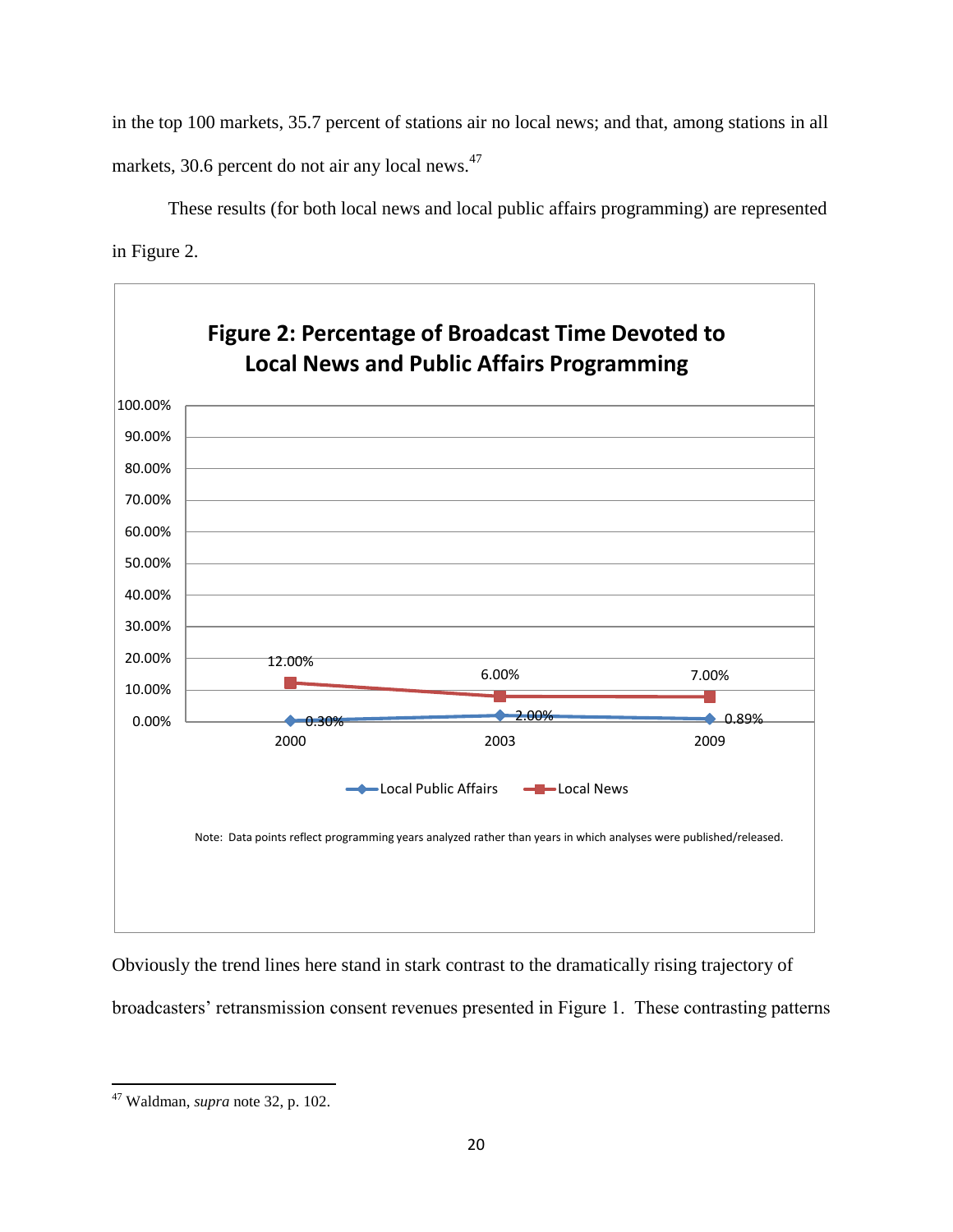in the top 100 markets, 35.7 percent of stations air no local news; and that, among stations in all markets, 30.6 percent do not air any local news.<sup>47</sup>

These results (for both local news and local public affairs programming) are represented in Figure 2.



Obviously the trend lines here stand in stark contrast to the dramatically rising trajectory of broadcasters' retransmission consent revenues presented in Figure 1. These contrasting patterns

 $\overline{\phantom{a}}$ <sup>47</sup> Waldman, *supra* note 32, p. 102.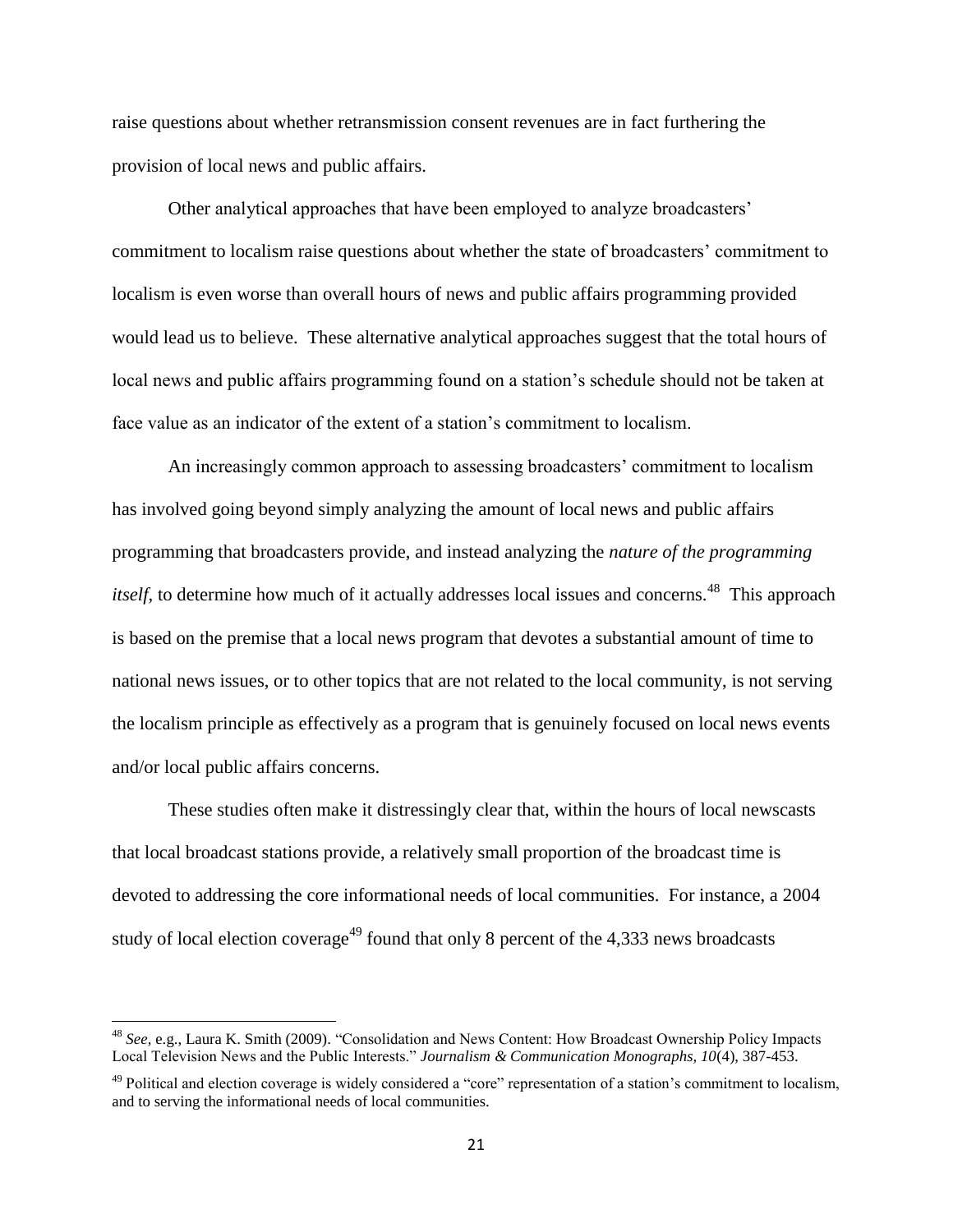raise questions about whether retransmission consent revenues are in fact furthering the provision of local news and public affairs.

Other analytical approaches that have been employed to analyze broadcasters" commitment to localism raise questions about whether the state of broadcasters" commitment to localism is even worse than overall hours of news and public affairs programming provided would lead us to believe. These alternative analytical approaches suggest that the total hours of local news and public affairs programming found on a station's schedule should not be taken at face value as an indicator of the extent of a station"s commitment to localism.

An increasingly common approach to assessing broadcasters" commitment to localism has involved going beyond simply analyzing the amount of local news and public affairs programming that broadcasters provide, and instead analyzing the *nature of the programming itself,* to determine how much of it actually addresses local issues and concerns.<sup>48</sup> This approach is based on the premise that a local news program that devotes a substantial amount of time to national news issues, or to other topics that are not related to the local community, is not serving the localism principle as effectively as a program that is genuinely focused on local news events and/or local public affairs concerns.

These studies often make it distressingly clear that, within the hours of local newscasts that local broadcast stations provide, a relatively small proportion of the broadcast time is devoted to addressing the core informational needs of local communities. For instance, a 2004 study of local election coverage<sup>49</sup> found that only 8 percent of the  $4,333$  news broadcasts

<sup>48</sup> *See,* e.g., Laura K. Smith (2009). "Consolidation and News Content: How Broadcast Ownership Policy Impacts Local Television News and the Public Interests." *Journalism & Communication Monographs, 10*(4), 387-453.

 $49$  Political and election coverage is widely considered a "core" representation of a station's commitment to localism, and to serving the informational needs of local communities.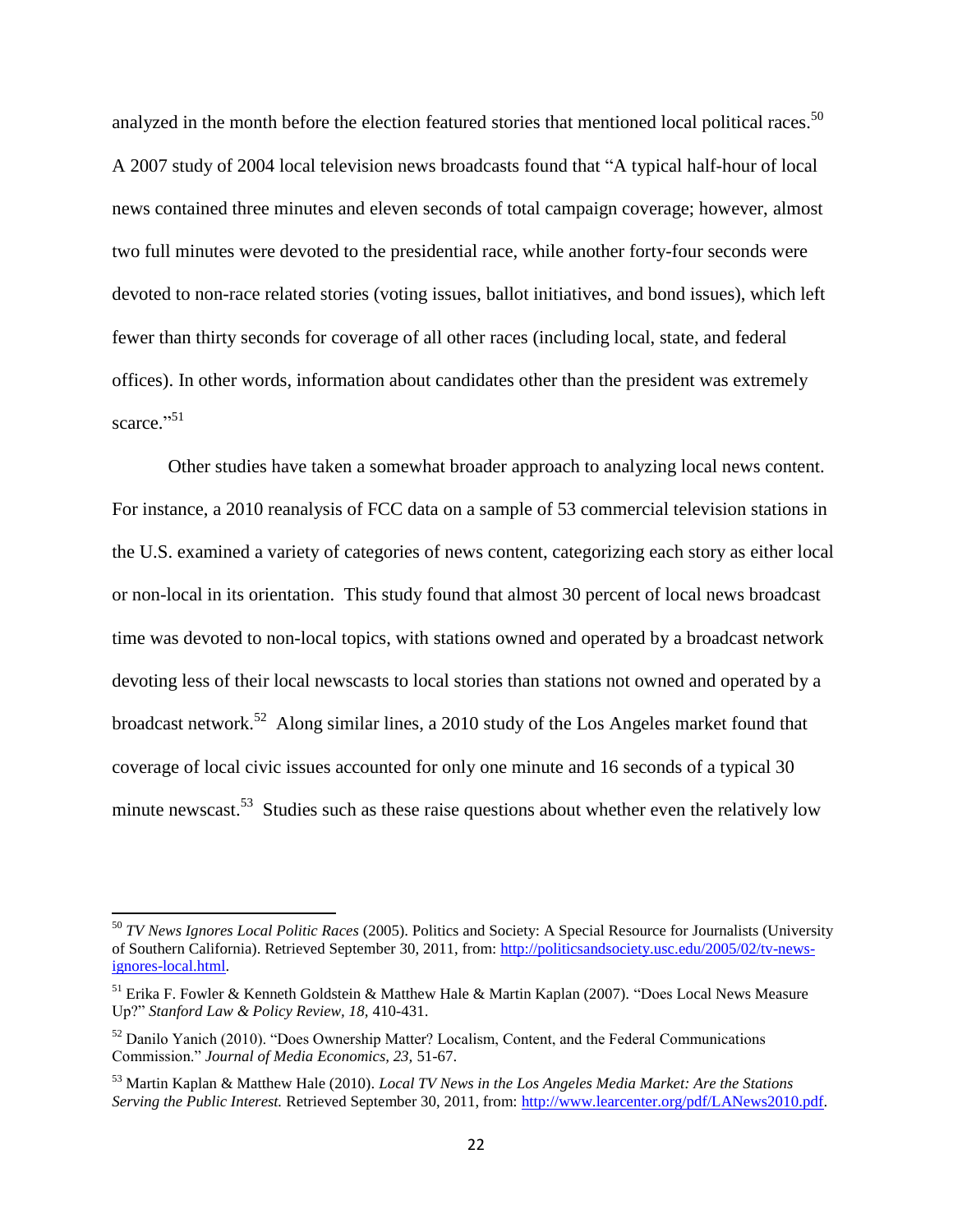analyzed in the month before the election featured stories that mentioned local political races.<sup>50</sup> A 2007 study of 2004 local television news broadcasts found that "A typical half-hour of local news contained three minutes and eleven seconds of total campaign coverage; however, almost two full minutes were devoted to the presidential race, while another forty-four seconds were devoted to non-race related stories (voting issues, ballot initiatives, and bond issues), which left fewer than thirty seconds for coverage of all other races (including local, state, and federal offices). In other words, information about candidates other than the president was extremely scarce."<sup>51</sup>

Other studies have taken a somewhat broader approach to analyzing local news content. For instance, a 2010 reanalysis of FCC data on a sample of 53 commercial television stations in the U.S. examined a variety of categories of news content, categorizing each story as either local or non-local in its orientation. This study found that almost 30 percent of local news broadcast time was devoted to non-local topics, with stations owned and operated by a broadcast network devoting less of their local newscasts to local stories than stations not owned and operated by a broadcast network.<sup>52</sup> Along similar lines, a 2010 study of the Los Angeles market found that coverage of local civic issues accounted for only one minute and 16 seconds of a typical 30 minute newscast.<sup>53</sup> Studies such as these raise questions about whether even the relatively low

<sup>50</sup> *TV News Ignores Local Politic Races* (2005). Politics and Society: A Special Resource for Journalists (University of Southern California). Retrieved September 30, 2011, from[: http://politicsandsociety.usc.edu/2005/02/tv-news](http://politicsandsociety.usc.edu/2005/02/tv-news-ignores-local.html)[ignores-local.html.](http://politicsandsociety.usc.edu/2005/02/tv-news-ignores-local.html)

<sup>51</sup> Erika F. Fowler & Kenneth Goldstein & Matthew Hale & Martin Kaplan (2007). "Does Local News Measure Up?" *Stanford Law & Policy Review, 18,* 410-431.

<sup>52</sup> Danilo Yanich (2010). "Does Ownership Matter? Localism, Content, and the Federal Communications Commission." *Journal of Media Economics, 23,* 51-67.

<sup>53</sup> Martin Kaplan & Matthew Hale (2010). *Local TV News in the Los Angeles Media Market: Are the Stations Serving the Public Interest.* Retrieved September 30, 2011, from: [http://www.learcenter.org/pdf/LANews2010.pdf.](http://www.learcenter.org/pdf/LANews2010.pdf)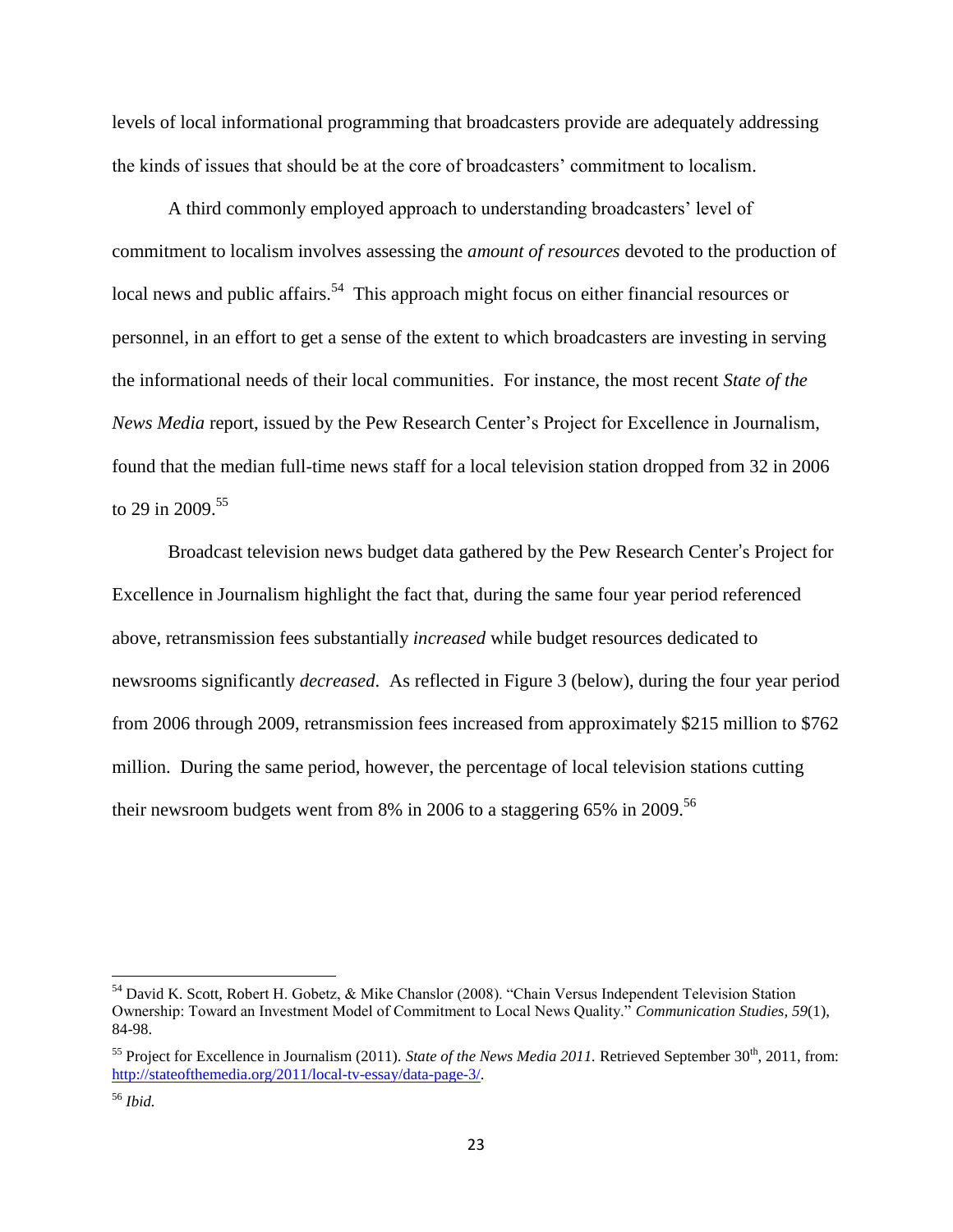levels of local informational programming that broadcasters provide are adequately addressing the kinds of issues that should be at the core of broadcasters" commitment to localism.

A third commonly employed approach to understanding broadcasters" level of commitment to localism involves assessing the *amount of resources* devoted to the production of local news and public affairs.<sup>54</sup> This approach might focus on either financial resources or personnel, in an effort to get a sense of the extent to which broadcasters are investing in serving the informational needs of their local communities. For instance, the most recent *State of the News Media* report, issued by the Pew Research Center"s Project for Excellence in Journalism, found that the median full-time news staff for a local television station dropped from 32 in 2006 to 29 in 2009.<sup>55</sup>

Broadcast television news budget data gathered by the Pew Research Center's Project for Excellence in Journalism highlight the fact that, during the same four year period referenced above, retransmission fees substantially *increased* while budget resources dedicated to newsrooms significantly *decreased*. As reflected in Figure 3 (below), during the four year period from 2006 through 2009, retransmission fees increased from approximately \$215 million to \$762 million. During the same period, however, the percentage of local television stations cutting their newsroom budgets went from  $8\%$  in 2006 to a staggering 65% in 2009.<sup>56</sup>

<sup>&</sup>lt;sup>54</sup> David K. Scott, Robert H. Gobetz, & Mike Chanslor (2008). "Chain Versus Independent Television Station Ownership: Toward an Investment Model of Commitment to Local News Quality." *Communication Studies, 59*(1), 84-98.

<sup>&</sup>lt;sup>55</sup> Project for Excellence in Journalism (2011). *State of the News Media 2011*. Retrieved September  $30<sup>th</sup>$ , 2011, from: [http://stateofthemedia.org/2011/local-tv-essay/data-page-3/.](http://stateofthemedia.org/2011/local-tv-essay/data-page-3/)

<sup>56</sup> *Ibid.*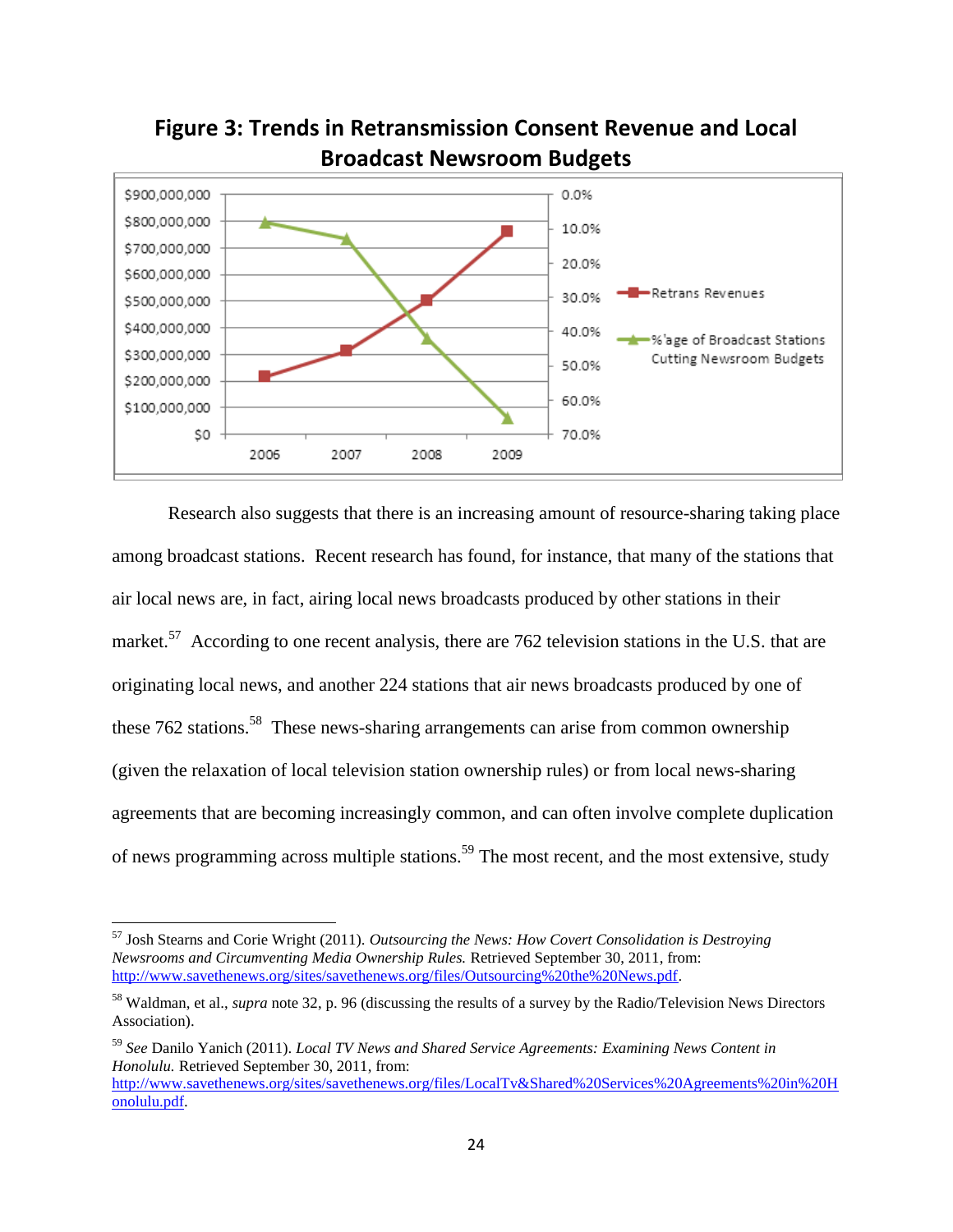

**Figure 3: Trends in Retransmission Consent Revenue and Local Broadcast Newsroom Budgets**

Research also suggests that there is an increasing amount of resource-sharing taking place among broadcast stations. Recent research has found, for instance, that many of the stations that air local news are, in fact, airing local news broadcasts produced by other stations in their market.<sup>57</sup> According to one recent analysis, there are 762 television stations in the U.S. that are originating local news, and another 224 stations that air news broadcasts produced by one of these 762 stations.<sup>58</sup> These news-sharing arrangements can arise from common ownership (given the relaxation of local television station ownership rules) or from local news-sharing agreements that are becoming increasingly common, and can often involve complete duplication of news programming across multiple stations.<sup>59</sup> The most recent, and the most extensive, study

<sup>57</sup> Josh Stearns and Corie Wright (2011). *Outsourcing the News: How Covert Consolidation is Destroying Newsrooms and Circumventing Media Ownership Rules.* Retrieved September 30, 2011, from: [http://www.savethenews.org/sites/savethenews.org/files/Outsourcing%20the%20News.pdf.](http://www.savethenews.org/sites/savethenews.org/files/Outsourcing%20the%20News.pdf)

<sup>58</sup> Waldman, et al., *supra* note 32, p. 96 (discussing the results of a survey by the Radio/Television News Directors Association).

<sup>59</sup> *See* Danilo Yanich (2011). *Local TV News and Shared Service Agreements: Examining News Content in Honolulu.* Retrieved September 30, 2011, from:

[http://www.savethenews.org/sites/savethenews.org/files/LocalTv&Shared%20Services%20Agreements%20in%20H](http://www.savethenews.org/sites/savethenews.org/files/LocalTv&Shared%20Services%20Agreements%20in%20Honolulu.pdf) [onolulu.pdf.](http://www.savethenews.org/sites/savethenews.org/files/LocalTv&Shared%20Services%20Agreements%20in%20Honolulu.pdf)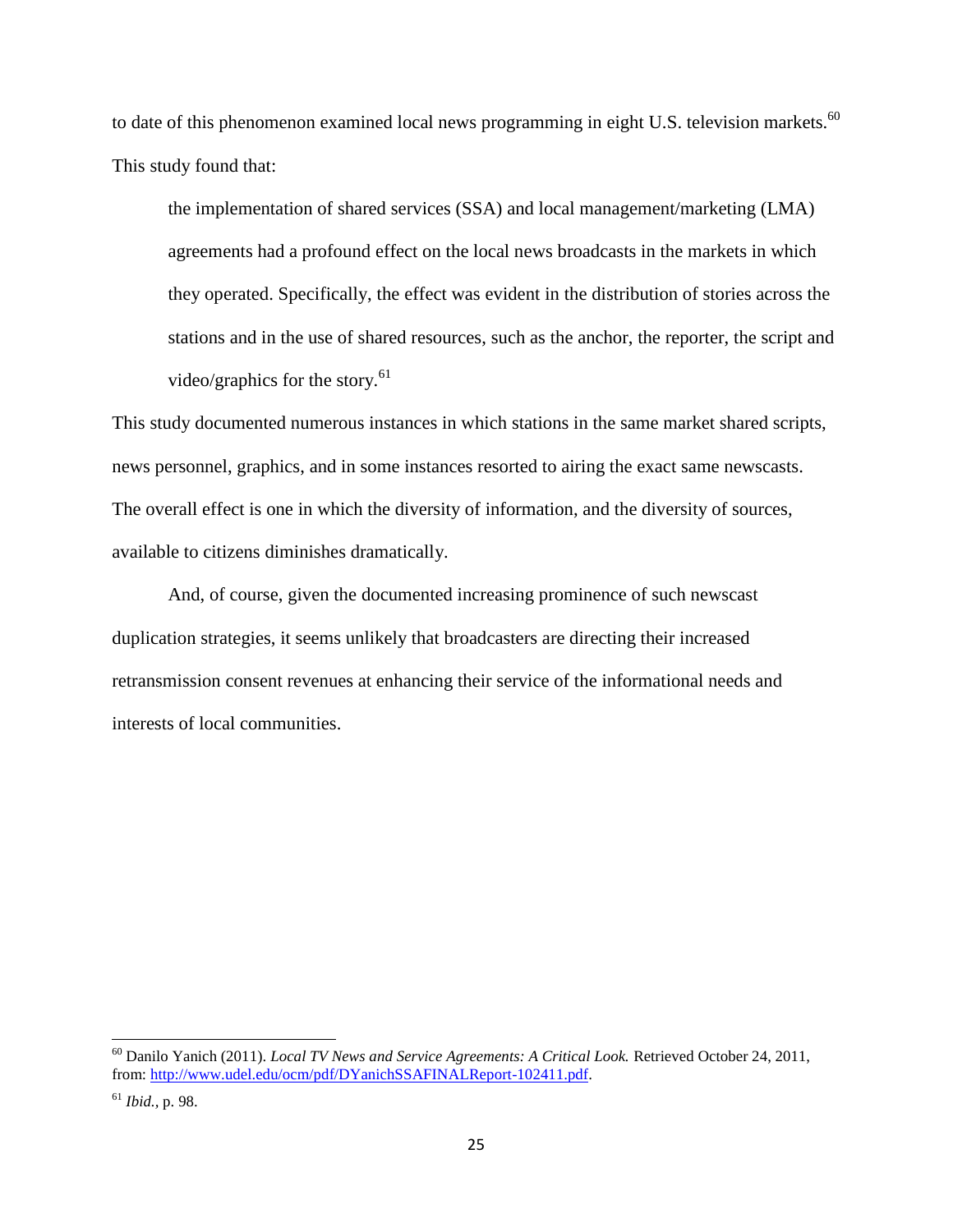to date of this phenomenon examined local news programming in eight U.S. television markets. $^{60}$ This study found that:

the implementation of shared services (SSA) and local management/marketing (LMA) agreements had a profound effect on the local news broadcasts in the markets in which they operated. Specifically, the effect was evident in the distribution of stories across the stations and in the use of shared resources, such as the anchor, the reporter, the script and video/graphics for the story. $61$ 

This study documented numerous instances in which stations in the same market shared scripts, news personnel, graphics, and in some instances resorted to airing the exact same newscasts. The overall effect is one in which the diversity of information, and the diversity of sources, available to citizens diminishes dramatically.

And, of course, given the documented increasing prominence of such newscast duplication strategies, it seems unlikely that broadcasters are directing their increased retransmission consent revenues at enhancing their service of the informational needs and interests of local communities.

<sup>60</sup> Danilo Yanich (2011). *Local TV News and Service Agreements: A Critical Look.* Retrieved October 24, 2011, from[: http://www.udel.edu/ocm/pdf/DYanichSSAFINALReport-102411.pdf.](http://www.udel.edu/ocm/pdf/DYanichSSAFINALReport-102411.pdf)

<sup>61</sup> *Ibid.,* p. 98.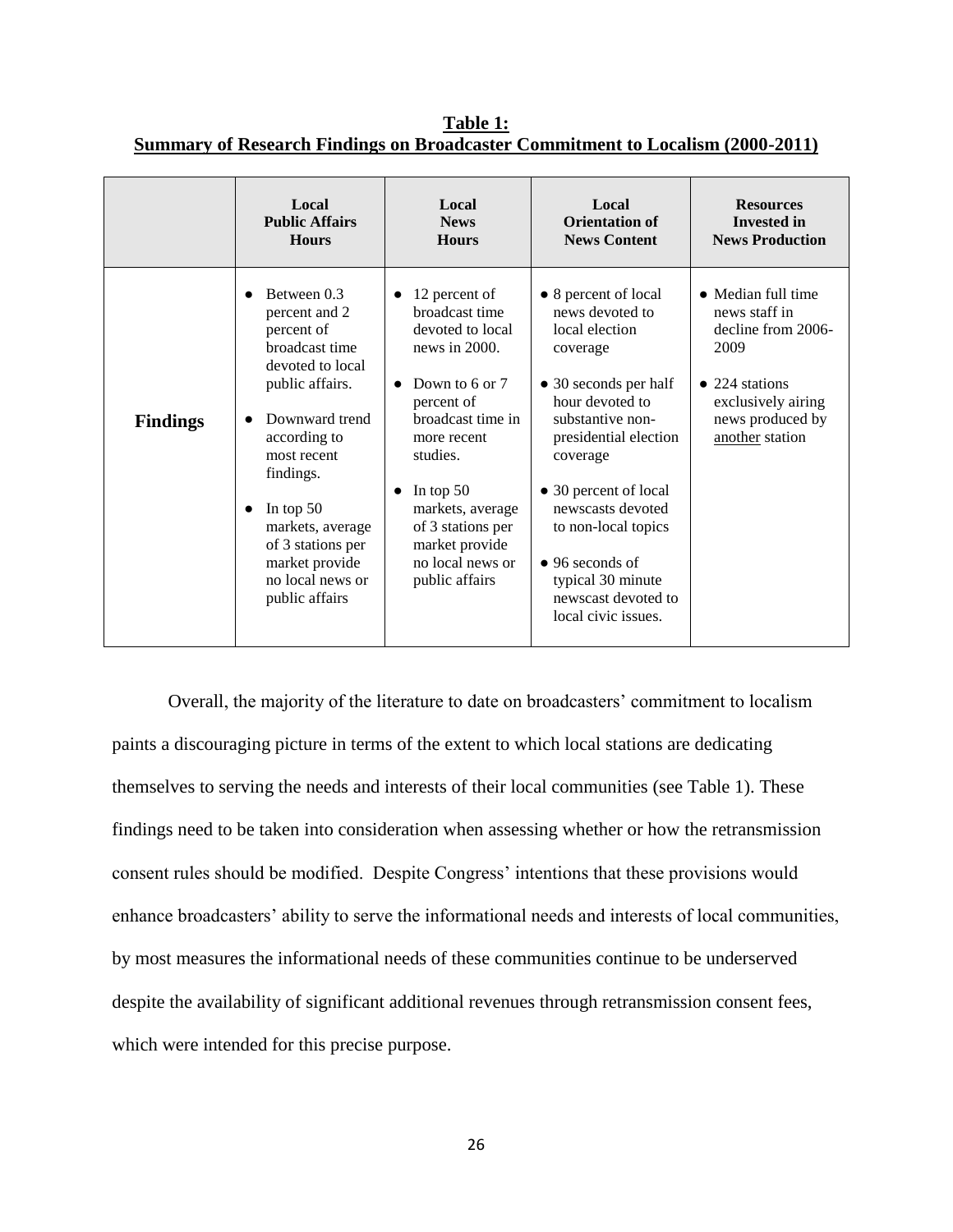|                 | Local<br><b>Public Affairs</b><br><b>Hours</b>                                                                                                                                                                                                                   | Local<br><b>News</b><br><b>Hours</b>                                                                                                                                                                                                                                                         | Local<br><b>Orientation of</b><br><b>News Content</b>                                                                                                                                                                                                                      | <b>Resources</b><br><b>Invested in</b><br><b>News Production</b>                                                                                         |
|-----------------|------------------------------------------------------------------------------------------------------------------------------------------------------------------------------------------------------------------------------------------------------------------|----------------------------------------------------------------------------------------------------------------------------------------------------------------------------------------------------------------------------------------------------------------------------------------------|----------------------------------------------------------------------------------------------------------------------------------------------------------------------------------------------------------------------------------------------------------------------------|----------------------------------------------------------------------------------------------------------------------------------------------------------|
| <b>Findings</b> | Between 0.3<br>$\bullet$<br>percent and 2<br>percent of<br>broadcast time<br>devoted to local<br>public affairs.<br>Downward trend<br>$\bullet$<br>according to<br>most recent<br>findings.<br>In top $50$<br>$\bullet$<br>markets, average<br>of 3 stations per | 12 percent of<br>$\bullet$<br>broadcast time<br>devoted to local<br>news in $2000$ .<br>Down to 6 or 7<br>$\bullet$<br>percent of<br>broadcast time in<br>more recent<br>studies.<br>In top $50$<br>$\bullet$<br>markets, average<br>of 3 stations per<br>market provide<br>no local news or | • 8 percent of local<br>news devoted to<br>local election<br>coverage<br>• 30 seconds per half<br>hour devoted to<br>substantive non-<br>presidential election<br>coverage<br>• 30 percent of local<br>newscasts devoted<br>to non-local topics<br>$\bullet$ 96 seconds of | • Median full time<br>news staff in<br>decline from 2006-<br>2009<br>$\bullet$ 224 stations<br>exclusively airing<br>news produced by<br>another station |
|                 | market provide<br>no local news or<br>public affairs                                                                                                                                                                                                             | public affairs                                                                                                                                                                                                                                                                               | typical 30 minute<br>newscast devoted to<br>local civic issues.                                                                                                                                                                                                            |                                                                                                                                                          |

**Table 1: Summary of Research Findings on Broadcaster Commitment to Localism (2000-2011)**

Overall, the majority of the literature to date on broadcasters" commitment to localism paints a discouraging picture in terms of the extent to which local stations are dedicating themselves to serving the needs and interests of their local communities (see Table 1). These findings need to be taken into consideration when assessing whether or how the retransmission consent rules should be modified. Despite Congress" intentions that these provisions would enhance broadcasters' ability to serve the informational needs and interests of local communities, by most measures the informational needs of these communities continue to be underserved despite the availability of significant additional revenues through retransmission consent fees, which were intended for this precise purpose.